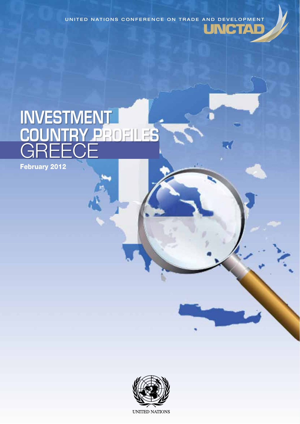UNITED NATIONS CONFERENCE ON TRADE AND DEVELOPMENT

# INVESTMEN<u>T</u> COUNTRY PROFILES **GREECE**

February 2012

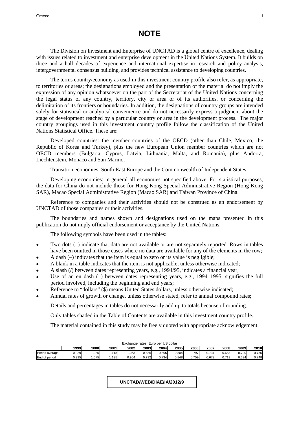## **NOTE**

The Division on Investment and Enterprise of UNCTAD is a global centre of excellence, dealing with issues related to investment and enterprise development in the United Nations System. It builds on three and a half decades of experience and international expertise in research and policy analysis, intergovernmental consensus building, and provides technical assistance to developing countries.

The terms country/economy as used in this investment country profile also refer, as appropriate, to territories or areas; the designations employed and the presentation of the material do not imply the expression of any opinion whatsoever on the part of the Secretariat of the United Nations concerning the legal status of any country, territory, city or area or of its authorities, or concerning the delimitation of its frontiers or boundaries. In addition, the designations of country groups are intended solely for statistical or analytical convenience and do not necessarily express a judgment about the stage of development reached by a particular country or area in the development process. The major country groupings used in this investment country profile follow the classification of the United Nations Statistical Office. These are:

Developed countries: the member countries of the OECD (other than Chile, Mexico, the Republic of Korea and Turkey), plus the new European Union member countries which are not OECD members (Bulgaria, Cyprus, Latvia, Lithuania, Malta, and Romania), plus Andorra, Liechtenstein, Monaco and San Marino.

Transition economies: South-East Europe and the Commonwealth of Independent States.

Developing economies: in general all economies not specified above. For statistical purposes, the data for China do not include those for Hong Kong Special Administrative Region (Hong Kong SAR), Macao Special Administrative Region (Macao SAR) and Taiwan Province of China.

Reference to companies and their activities should not be construed as an endorsement by UNCTAD of those companies or their activities.

The boundaries and names shown and designations used on the maps presented in this publication do not imply official endorsement or acceptance by the United Nations.

The following symbols have been used in the tables:

- Two dots (..) indicate that data are not available or are not separately reported. Rows in tables have been omitted in those cases where no data are available for any of the elements in the row;
- A dash  $(-)$  indicates that the item is equal to zero or its value is negligible;
- A blank in a table indicates that the item is not applicable, unless otherwise indicated;
- A slash (/) between dates representing years, e.g., 1994/95, indicates a financial year;
- Use of an en dash (–) between dates representing years, e.g., 1994–1995, signifies the full period involved, including the beginning and end years;
- Reference to "dollars" (\$) means United States dollars, unless otherwise indicated;
- Annual rates of growth or change, unless otherwise stated, refer to annual compound rates;

Details and percentages in tables do not necessarily add up to totals because of rounding.

Only tables shaded in the Table of Contents are available in this investment country profile.

The material contained in this study may be freely quoted with appropriate acknowledgement.

| Exchange rates, Euro per US dollar |       |      |      |       |       |       |       |       |       |       |       |             |  |
|------------------------------------|-------|------|------|-------|-------|-------|-------|-------|-------|-------|-------|-------------|--|
|                                    | 1999  | 2000 | 2001 | 2002  | 2003  | 2004  | 2005  | 2006  | 2007  | 2008  | 2009  | <b>2010</b> |  |
| Period average                     | 0.939 | .085 | 118  | .063  | 0.886 | 0.805 | 0.804 | 0.797 | 0.731 | 0.683 | 0.720 | J.755       |  |
| End of period                      | 0.995 | .075 | .135 | 0.954 | 0.792 | 0.734 | 0.848 | 0.759 | 0.679 | 0.719 | 0.694 | 0.748       |  |

**UNCTAD/WEB/DIAE/IA/2012/9** 

\_\_\_\_\_\_\_\_\_\_\_\_\_\_\_\_\_\_\_\_\_\_\_\_\_\_\_\_\_\_\_\_\_\_\_\_\_\_\_\_\_\_\_\_\_\_\_\_\_\_\_\_\_\_\_\_\_\_\_\_\_\_\_\_\_\_\_\_\_\_\_\_\_\_\_\_\_\_\_\_\_\_\_\_\_\_\_\_\_\_\_\_\_\_\_\_\_\_\_\_\_\_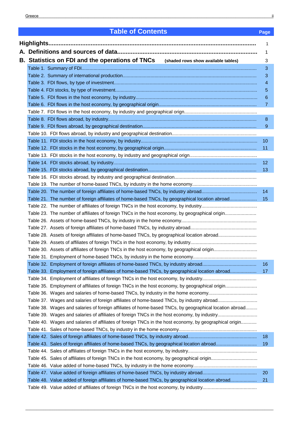# **Table of Contents**

|                                                                                                        | 1   |
|--------------------------------------------------------------------------------------------------------|-----|
|                                                                                                        | 1   |
| B. Statistics on FDI and the operations of TNCs (shaded rows show available tables)                    | 3   |
|                                                                                                        | 3   |
|                                                                                                        | 3   |
|                                                                                                        | 4   |
|                                                                                                        | 5   |
|                                                                                                        | 6   |
|                                                                                                        | 7   |
|                                                                                                        |     |
|                                                                                                        | 8   |
|                                                                                                        | 9   |
|                                                                                                        |     |
|                                                                                                        | 10  |
|                                                                                                        | 11  |
|                                                                                                        |     |
|                                                                                                        | 12  |
|                                                                                                        | 13  |
|                                                                                                        |     |
|                                                                                                        |     |
|                                                                                                        | 14  |
| Table 21. The number of foreign affiliates of home-based TNCs, by geographical location abroad         | 15  |
|                                                                                                        |     |
| Table 23. The number of affiliates of foreign TNCs in the host economy, by geographical origin         |     |
|                                                                                                        |     |
|                                                                                                        |     |
| Table 28. Assets of foreign affiliates of home-based TNCs, by geographical location abroad             |     |
|                                                                                                        |     |
|                                                                                                        |     |
|                                                                                                        |     |
|                                                                                                        | 16  |
| Table 33. Employment of foreign affiliates of home-based TNCs, by geographical location abroad         | -17 |
|                                                                                                        |     |
| Table 35. Employment of affiliates of foreign TNCs in the host economy, by geographical origin         |     |
| Table 36. Wages and salaries of home-based TNCs, by industry in the home economy                       |     |
| Table 37. Wages and salaries of foreign affiliates of home-based TNCs, by industry abroad              |     |
| Table 38. Wages and salaries of foreign affiliates of home-based TNCs, by geographical location abroad |     |
|                                                                                                        |     |
| Table 40. Wages and salaries of affiliates of foreign TNCs in the host economy, by geographical origin |     |
|                                                                                                        |     |
|                                                                                                        | 18  |
| Table 43. Sales of foreign affiliates of home-based TNCs, by geographical location abroad              | 19  |
|                                                                                                        |     |
|                                                                                                        |     |
|                                                                                                        |     |
|                                                                                                        | 20  |
| Table 48. Value added of foreign affiliates of home-based TNCs, by geographical location abroad        | 21  |
|                                                                                                        |     |

\_\_\_\_\_\_\_\_\_\_\_\_\_\_\_\_\_\_\_\_\_\_\_\_\_\_\_\_\_\_\_\_\_\_\_\_\_\_\_\_\_\_\_\_\_\_\_\_\_\_\_\_\_\_\_\_\_\_\_\_\_\_\_\_\_\_\_\_\_\_\_\_\_\_\_\_\_\_\_\_\_\_\_\_\_\_\_\_\_\_\_\_\_\_\_\_\_\_\_\_\_\_\_\_\_\_\_\_\_\_\_

**Page**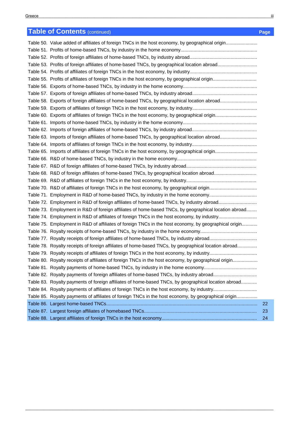# **Table of Contents** (continued) **Page** 2014 12:30 **Page**

| Table 50. Value added of affiliates of foreign TNCs in the host economy, by geographical origin       |    |
|-------------------------------------------------------------------------------------------------------|----|
|                                                                                                       |    |
|                                                                                                       |    |
|                                                                                                       |    |
|                                                                                                       |    |
|                                                                                                       |    |
|                                                                                                       |    |
|                                                                                                       |    |
| Table 58. Exports of foreign affiliates of home-based TNCs, by geographical location abroad           |    |
|                                                                                                       |    |
|                                                                                                       |    |
|                                                                                                       |    |
|                                                                                                       |    |
| Table 63. Imports of foreign affiliates of home-based TNCs, by geographical location abroad           |    |
|                                                                                                       |    |
|                                                                                                       |    |
|                                                                                                       |    |
|                                                                                                       |    |
| Table 68. R&D of foreign affiliates of home-based TNCs, by geographical location abroad               |    |
|                                                                                                       |    |
|                                                                                                       |    |
| Table 71. Employment in R&D of home-based TNCs, by industry in the home economy                       |    |
| Table 72. Employment in R&D of foreign affiliates of home-based TNCs, by industry abroad              |    |
| Table 73. Employment in R&D of foreign affiliates of home-based TNCs, by geographical location abroad |    |
|                                                                                                       |    |
| Table 75. Employment in R&D of affiliates of foreign TNCs in the host economy, by geographical origin |    |
|                                                                                                       |    |
|                                                                                                       |    |
| Table 78. Royalty receipts of foreign affiliates of home-based TNCs, by geographical location abroad  |    |
|                                                                                                       |    |
| Table 80. Royalty receipts of affiliates of foreign TNCs in the host economy, by geographical origin  |    |
|                                                                                                       |    |
|                                                                                                       |    |
| Table 83. Royalty payments of foreign affiliates of home-based TNCs, by geographical location abroad  |    |
|                                                                                                       |    |
| Table 85. Royalty payments of affiliates of foreign TNCs in the host economy, by geographical origin  |    |
|                                                                                                       | 22 |
|                                                                                                       | 23 |
|                                                                                                       | 24 |

\_\_\_\_\_\_\_\_\_\_\_\_\_\_\_\_\_\_\_\_\_\_\_\_\_\_\_\_\_\_\_\_\_\_\_\_\_\_\_\_\_\_\_\_\_\_\_\_\_\_\_\_\_\_\_\_\_\_\_\_\_\_\_\_\_\_\_\_\_\_\_\_\_\_\_\_\_\_\_\_\_\_\_\_\_\_\_\_\_\_\_\_\_\_\_\_\_\_\_\_\_\_\_\_\_\_\_\_\_\_\_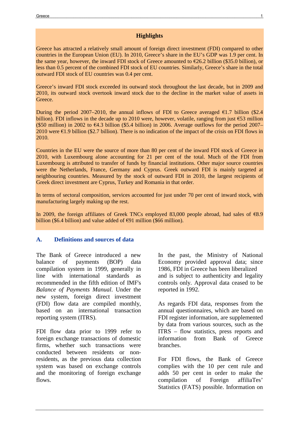## **Highlights**

Greece has attracted a relatively small amount of foreign direct investment (FDI) compared to other countries in the European Union (EU). In 2010, Greece's share in the EU's GDP was 1.9 per cent. In the same year, however, the inward FDI stock of Greece amounted to  $\epsilon$ 26.2 billion (\$35.0 billion), or less than 0.5 percent of the combined FDI stock of EU countries. Similarly, Greece's share in the total outward FDI stock of EU countries was 0.4 per cent.

Greece's inward FDI stock exceeded its outward stock throughout the last decade, but in 2009 and 2010, its outward stock overtook inward stock due to the decline in the market value of assets in **Greece** 

During the period 2007–2010, the annual inflows of FDI to Greece averaged  $\epsilon$ 1.7 billion (\$2.4) billion). FDI inflows in the decade up to 2010 were, however, volatile, ranging from just €53 million (\$50 million) in 2002 to  $\epsilon$ 4.3 billion (\$5.4 billion) in 2006. Average outflows for the period 2007– 2010 were  $\epsilon$ 1.9 billion (\$2.7 billion). There is no indication of the impact of the crisis on FDI flows in 2010.

Countries in the EU were the source of more than 80 per cent of the inward FDI stock of Greece in 2010, with Luxembourg alone accounting for 21 per cent of the total. Much of the FDI from Luxembourg is attributed to transfer of funds by financial institutions. Other major source countries were the Netherlands, France, Germany and Cyprus. Greek outward FDI is mainly targeted at neighbouring countries. Measured by the stock of outward FDI in 2010, the largest recipients of Greek direct investment are Cyprus, Turkey and Romania in that order.

In terms of sectoral composition, services accounted for just under 70 per cent of inward stock, with manufacturing largely making up the rest.

In 2009, the foreign affiliates of Greek TNCs employed 83,000 people abroad, had sales of €8.9 billion (\$6.4 billion) and value added of  $\epsilon$ 91 million (\$66 million).

\_\_\_\_\_\_\_\_\_\_\_\_\_\_\_\_\_\_\_\_\_\_\_\_\_\_\_\_\_\_\_\_\_\_\_\_\_\_\_\_\_\_\_\_\_\_\_\_\_\_\_\_\_\_\_\_\_\_\_\_\_\_\_\_\_\_\_\_\_\_\_\_\_\_\_\_\_\_\_\_\_\_\_\_\_\_\_\_\_\_\_\_\_\_\_\_\_\_\_\_\_\_

## **A. Definitions and sources of data**

The Bank of Greece introduced a new balance of payments (BOP) data compilation system in 1999, generally in line with international standards as recommended in the fifth edition of IMF's *Balance of Payments Manual*. Under the new system, foreign direct investment (FDI) flow data are compiled monthly, based on an international transaction reporting system (ITRS).

FDI flow data prior to 1999 refer to foreign exchange transactions of domestic firms, whether such transactions were conducted between residents or nonresidents, as the previous data collection system was based on exchange controls and the monitoring of foreign exchange flows.

In the past, the Ministry of National Economy provided approval data; since 1986, FDI in Greece has been liberalized and is subject to authenticity and legality controls only. Approval data ceased to be reported in 1992.

As regards FDI data, responses from the annual questionnaires, which are based on FDI register information, are supplemented by data from various sources, such as the ITRS – flow statistics, press reports and information from Bank of Greece branches.

For FDI flows, the Bank of Greece complies with the 10 per cent rule and adds 50 per cent in order to make the compilation of Foreign affiliaTes' Statistics (FATS) possible. Information on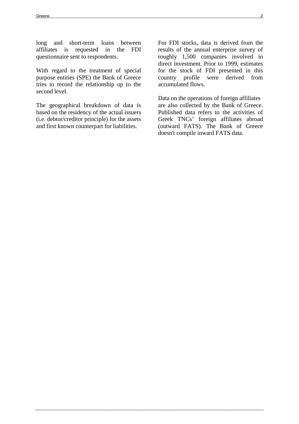long and short-term loans between affiliates is requested in the FDI questionnaire sent to respondents.

With regard to the treatment of special purpose entities (SPE) the Bank of Greece tries to record the relationship up to the second level.

The geographical breakdown of data is based on the residency of the actual issuers (i.e. debtor/creditor principle) for the assets and first known counterpart for liabilities.

\_\_\_\_\_\_\_\_\_\_\_\_\_\_\_\_\_\_\_\_\_\_\_\_\_\_\_\_\_\_\_\_\_\_\_\_\_\_\_\_\_\_\_\_\_\_\_\_\_\_\_\_\_\_\_\_\_\_\_\_\_\_\_\_\_\_\_\_\_\_\_\_\_\_\_\_\_\_\_\_\_\_\_\_\_\_\_\_\_\_\_\_\_\_\_\_\_\_\_\_\_\_

For FDI stocks, data is derived from the results of the annual enterprise survey of roughly 1,500 companies involved in direct investment. Prior to 1999, estimates for the stock of FDI presented in this country profile were derived from accumulated flows.

Data on the operations of foreign affiliates are also collected by the Bank of Greece. Published data refers to the activities of Greek TNCs' foreign affiliates abroad (outward FATS). The Bank of Greece doesn't compile inward FATS data.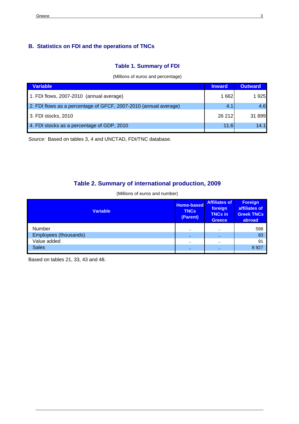## **B. Statistics on FDI and the operations of TNCs**

## **Table 1. Summary of FDI**

(Millions of euros and percentage)

| <b>Variable</b>                                                  | <b>Inward</b> | <b>Outward</b> |
|------------------------------------------------------------------|---------------|----------------|
| 1. FDI flows, 2007-2010 (annual average)                         | 1 662         | 1925           |
| 2. FDI flows as a percentage of GFCF, 2007-2010 (annual average) | 4.1           | 4.6            |
| 3. FDI stocks, 2010                                              | 26 21 2       | 31 899         |
| 4. FDI stocks as a percentage of GDP, 2010                       | 11.6          | 14.1           |
|                                                                  |               |                |

*Source:* Based on tables 3, 4 and UNCTAD, FDI/TNC database.

## **Table 2. Summary of international production, 2009**

| <b>Variable</b>       | <b>Home-based</b><br><b>TNCs</b><br>(Parent) | <b>Affiliates of</b><br>foreign<br><b>TNCs in</b><br><b>Greece</b> | <b>Foreign</b><br>affiliates of<br><b>Greek TNCs</b><br>abroad |
|-----------------------|----------------------------------------------|--------------------------------------------------------------------|----------------------------------------------------------------|
| Number                | $\cdot$ .                                    |                                                                    | 598                                                            |
| Employees (thousands) | $\sim$ $\sim$                                | $\sim$ $\sim$                                                      | 83                                                             |
| Value added           | $\cdot$ .                                    |                                                                    | 91                                                             |
| <b>Sales</b>          | .                                            | $\sim$ $\sim$                                                      | 8927                                                           |
|                       |                                              |                                                                    |                                                                |

\_\_\_\_\_\_\_\_\_\_\_\_\_\_\_\_\_\_\_\_\_\_\_\_\_\_\_\_\_\_\_\_\_\_\_\_\_\_\_\_\_\_\_\_\_\_\_\_\_\_\_\_\_\_\_\_\_\_\_\_\_\_\_\_\_\_\_\_\_\_\_\_\_\_\_\_\_\_\_\_\_\_\_\_\_\_\_\_\_\_\_\_\_\_\_\_\_\_\_\_\_\_

(Millions of euros and number)

Based on tables 21, 33, 43 and 48.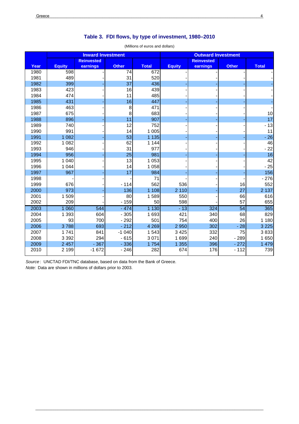|  | Table 3. FDI flows, by type of investment, 1980-2010 |  |  |  |  |
|--|------------------------------------------------------|--|--|--|--|
|--|------------------------------------------------------|--|--|--|--|

(Millions of euros and dollars)

|      |               | <b>Inward Investment</b> |              |              | <b>Outward Investment</b> |                   |                 |              |  |  |  |  |
|------|---------------|--------------------------|--------------|--------------|---------------------------|-------------------|-----------------|--------------|--|--|--|--|
|      |               | <b>Reinvested</b>        |              |              |                           | <b>Reinvested</b> |                 |              |  |  |  |  |
| Year | <b>Equity</b> | earnings                 | <b>Other</b> | <b>Total</b> | <b>Equity</b>             | earnings          | <b>Other</b>    | <b>Total</b> |  |  |  |  |
| 1980 | 598           |                          | 74           | 672          |                           |                   |                 |              |  |  |  |  |
| 1981 | 489           |                          | 31           | 520          |                           |                   |                 |              |  |  |  |  |
| 1982 | 399           |                          | 37           | 436          |                           |                   |                 |              |  |  |  |  |
| 1983 | 423           |                          | 16           | 439          |                           |                   |                 |              |  |  |  |  |
| 1984 | 474           |                          | 11           | 485          |                           |                   |                 |              |  |  |  |  |
| 1985 | 431           |                          | 16           | 447          |                           |                   |                 |              |  |  |  |  |
| 1986 | 463           |                          | 8            | 471          |                           |                   |                 |              |  |  |  |  |
| 1987 | 675           |                          | 8            | 683          |                           |                   |                 | 10           |  |  |  |  |
| 1988 | 896           |                          | 11           | 907          |                           |                   |                 | 17           |  |  |  |  |
| 1989 | 740           |                          | 12           | 752          |                           |                   |                 | $-13$        |  |  |  |  |
| 1990 | 991           |                          | 14           | 1 0 0 5      |                           |                   |                 | 11           |  |  |  |  |
| 1991 | 1 0 8 2       |                          | 53           | 1 1 3 5      |                           |                   |                 | $-26$        |  |  |  |  |
| 1992 | 1 0 8 2       |                          | 62           | 1 1 4 4      |                           |                   |                 | 46           |  |  |  |  |
| 1993 | 946           |                          | 31           | 977          |                           |                   |                 | $-22$        |  |  |  |  |
| 1994 | 956           |                          | 25           | 981          |                           |                   |                 | 16           |  |  |  |  |
| 1995 | 1 0 4 0       |                          | 13           | 1 0 5 3      |                           |                   |                 | 42           |  |  |  |  |
| 1996 | 1 0 4 4       |                          | 14           | 1 0 5 8      |                           |                   |                 | $-25$        |  |  |  |  |
| 1997 | 967           |                          | 17           | 984          |                           |                   |                 | 156          |  |  |  |  |
| 1998 |               |                          |              | 71           |                           |                   |                 | $-276$       |  |  |  |  |
| 1999 | 676           |                          | $-114$       | 562          | 536                       |                   | 16              | 552          |  |  |  |  |
| 2000 | 973           |                          | 136          | 1 1 0 8      | 2 1 1 0                   |                   | 27              | 2 1 3 7      |  |  |  |  |
| 2001 | 1509          |                          | 80           | 1589         | 550                       |                   | 66              | 616          |  |  |  |  |
| 2002 | 209           |                          | $-159$       | 50           | 598                       |                   | 57              | 655          |  |  |  |  |
| 2003 | 1 0 6 0       | 544                      | $-474$       | 1 1 3 0      | $-13$                     | 324               | $\overline{54}$ | 365          |  |  |  |  |
| 2004 | 1 3 9 3       | 604                      | $-305$       | 1693         | 421                       | 340               | 68              | 829          |  |  |  |  |
| 2005 | 93            | 700                      | $-292$       | 501          | 754                       | 400               | 26              | 1 1 8 0      |  |  |  |  |
| 2006 | 3788          | 693                      | $-212$       | 4 2 6 9      | 2 9 5 0                   | 302               | $-28$           | 3 2 2 5      |  |  |  |  |
| 2007 | 1741          | 841                      | $-1040$      | 1543         | 3 4 2 5                   | 332               | 75              | 3833         |  |  |  |  |
| 2008 | 3 3 9 2       | 294                      | $-615$       | 3 0 7 1      | 1699                      | 240               | $-289$          | 1650         |  |  |  |  |
| 2009 | 2 4 5 7       | $-367$                   | $-336$       | 1754         | 1 3 5 5                   | 396               | $-272$          | 1 4 7 9      |  |  |  |  |
| 2010 | 2 1 9 9       | $-1672$                  | $-246$       | 282          | 674                       | 176               | $-112$          | 739          |  |  |  |  |

\_\_\_\_\_\_\_\_\_\_\_\_\_\_\_\_\_\_\_\_\_\_\_\_\_\_\_\_\_\_\_\_\_\_\_\_\_\_\_\_\_\_\_\_\_\_\_\_\_\_\_\_\_\_\_\_\_\_\_\_\_\_\_\_\_\_\_\_\_\_\_\_\_\_\_\_\_\_\_\_\_\_\_\_\_\_\_\_\_\_\_\_\_\_\_\_\_\_\_\_\_\_

*Source* : UNCTAD FDI/TNC database, based on data from the Bank of Greece. *Note:* Data are shown in millions of dollars prior to 2003.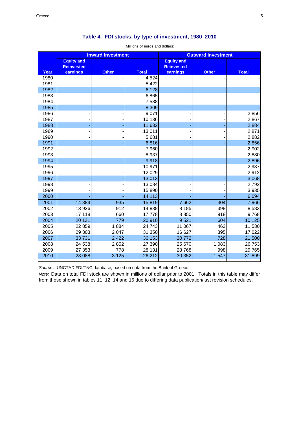|      |                                                    | <b>Inward Investment</b> |              |                                                    | <b>Outward Investment</b> |              |
|------|----------------------------------------------------|--------------------------|--------------|----------------------------------------------------|---------------------------|--------------|
| Year | <b>Equity and</b><br><b>Reinvested</b><br>earnings | <b>Other</b>             | <b>Total</b> | <b>Equity and</b><br><b>Reinvested</b><br>earnings | <b>Other</b>              | <b>Total</b> |
| 1980 |                                                    |                          | 4524         |                                                    |                           |              |
| 1981 |                                                    |                          | 5 4 2 2      |                                                    |                           |              |
| 1982 |                                                    |                          | 6 1 2 8      |                                                    |                           |              |
| 1983 |                                                    |                          | 6865         |                                                    |                           |              |
| 1984 |                                                    |                          | 7588         |                                                    |                           |              |
| 1985 |                                                    |                          | 8 3 0 9      |                                                    |                           |              |
| 1986 |                                                    |                          | 9 0 7 1      |                                                    |                           | 2856         |
| 1987 |                                                    |                          | 10 136       |                                                    |                           | 2867         |
| 1988 |                                                    |                          | 11 632       |                                                    |                           | 2 8 8 4      |
| 1989 |                                                    |                          | 13 011       |                                                    |                           | 2871         |
| 1990 |                                                    |                          | 5 681        |                                                    |                           | 2882         |
| 1991 |                                                    |                          | 6816         |                                                    |                           | 2856         |
| 1992 |                                                    |                          | 7960         |                                                    |                           | 2 9 0 2      |
| 1993 |                                                    |                          | 8937         |                                                    |                           | 2880         |
| 1994 |                                                    |                          | 9918         |                                                    |                           | 2896         |
| 1995 |                                                    |                          | 10 971       |                                                    |                           | 2937         |
| 1996 |                                                    |                          | 12 0 29      |                                                    |                           | 2912         |
| 1997 |                                                    |                          | 13 013       |                                                    |                           | 3 0 68       |
| 1998 |                                                    |                          | 13 0 84      |                                                    |                           | 2792         |
| 1999 |                                                    |                          | 15 890       |                                                    |                           | 3 9 3 5      |
| 2000 |                                                    |                          | 14 113       |                                                    |                           | 6 0 94       |
| 2001 | 14 8 84                                            | 935                      | 15819        | 7662                                               | 304                       | 7 9 6 6      |
| 2002 | 13 9 26                                            | 912                      | 14 838       | 8 1 8 5                                            | 398                       | 8583         |
| 2003 | 17 118                                             | 660                      | 17778        | 8850                                               | 918                       | 9768         |
| 2004 | 20 131                                             | 779                      | 20 910       | 9521                                               | 604                       | 10 125       |
| 2005 | 22 859                                             | 1884                     | 24 743       | 11 067                                             | 463                       | 11 530       |
| 2006 | 29 303                                             | 2 0 4 7                  | 31 350       | 16 627                                             | 395                       | 17 022       |
| 2007 | 33731                                              | 2 4 2 2                  | 36 153       | 20772                                              | 728                       | 21 500       |
| 2008 | 24 538                                             | 2852                     | 27 390       | 25 670                                             | 1 0 8 3                   | 26 753       |
| 2009 | 27 353                                             | 778                      | 28 131       | 28768                                              | 998                       | 29 7 65      |
| 2010 | 23 088                                             | 3 1 2 5                  | 26 212       | 30 352                                             | 1547                      | 31 899       |

## **Table 4. FDI stocks, by type of investment, 1980–2010**

(Millions of euros and dollars)

*Source* : UNCTAD FDI/TNC database, based on data from the Bank of Greece.

*Note:* Data on total FDI stock are shown in millions of dollar prior to 2001. Totals in this table may differ from those shown in tables 11, 12, 14 and 15 due to differing data publication/last revision schedules.

\_\_\_\_\_\_\_\_\_\_\_\_\_\_\_\_\_\_\_\_\_\_\_\_\_\_\_\_\_\_\_\_\_\_\_\_\_\_\_\_\_\_\_\_\_\_\_\_\_\_\_\_\_\_\_\_\_\_\_\_\_\_\_\_\_\_\_\_\_\_\_\_\_\_\_\_\_\_\_\_\_\_\_\_\_\_\_\_\_\_\_\_\_\_\_\_\_\_\_\_\_\_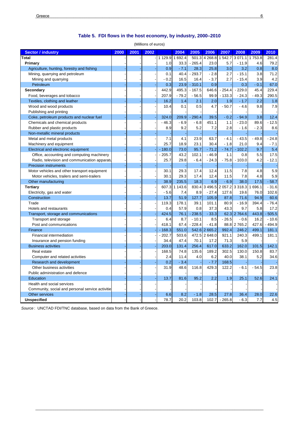## **Table 5. FDI flows in the host economy, by industry, 2000–2010**

(Millions of euros)

| <b>Sector / industry</b>                                                     | 2000 | 2001 | 2002 |                  | 2004                  | 2005            | 2006                  | 2007     | 2008                            | 2009            | 2010            |
|------------------------------------------------------------------------------|------|------|------|------------------|-----------------------|-----------------|-----------------------|----------|---------------------------------|-----------------|-----------------|
| Total                                                                        |      |      |      | 1 129.9          | 1 692.4               |                 | 501.3 4 268.8 1 542.7 |          |                                 | 3 071.1 1 753.8 | 281.4           |
| Primary                                                                      |      |      |      | 1.0              | 33.3                  | 265.4           | 23.0                  | 5.7      | $-11.9$                         | 4.6             | 79.2            |
| Agriculture, hunting, forestry and fishing                                   |      |      |      | 0.9              | $-7.1$                | 28.3            | 25.8                  | 3.0      | 3.2                             | 0.8             | 8.0             |
| Mining, quarrying and petroleum                                              |      |      |      | 0.1              | 40.4                  | $-293.7$        | $-2.8$                | 2.7      | $-15.1$                         | 3.8             | 71.2            |
| Mining and quarrying                                                         |      |      |      | $-0.2$           | 16.5                  | 16.4            | $-3.7$                | 2.7      | $-15.4$                         | 3.9             | 4.2             |
| Petroleum                                                                    |      |      |      | 0.3              | 23.9                  | $-310.1$        | 0.9                   |          | 0.3                             | $-0.1$          | 67.0            |
| Secondary                                                                    |      |      |      | 442.9            | 495.3                 | $-167.5$        | 646.6                 | $-254.4$ | $-229.0$                        | 45.4            | 229.4           |
| Food, beverages and tobacco                                                  |      |      |      | 207.9            | $-79.2$               | $-56.5$         | 99.9                  | $-133.3$ | $-24.3$                         | $-49.3$         | 290.5           |
| Textiles, clothing and leather                                               |      |      |      | 16.2             | 1.4                   | 2.1             | 2.0                   | 1.9      | $-1.7$                          | 2.2             | 1.8             |
| Wood and wood products                                                       |      |      |      | 10.4             | 0.1                   | 0.5             | 4.7                   | $-50.7$  | $-4.6$                          | 9.8             | 7.9             |
| Publishing and printing                                                      |      |      |      |                  |                       |                 |                       |          |                                 |                 |                 |
| Coke, petroleum products and nuclear fuel                                    |      |      |      | 324.0            | 209.9                 | $-290.4$        | 39.5                  | $-0.2$   | $-94.9$                         | 3.8             | 12.4            |
| Chemicals and chemical products                                              |      |      |      | $-46.3$          | $-6.9$                | $-6.8$          | 451.1                 | 1.1      | $-23.0$                         | 89.6            | 12.5            |
| Rubber and plastic products                                                  |      |      |      | 8.9              | 9.2                   | 5.2             | 7.2                   | 2.8      | $-1.6$                          | $-2.3$          | 8.6             |
| Non-metallic mineral products                                                |      |      |      |                  |                       |                 |                       |          |                                 |                 |                 |
| Metal and metal products                                                     |      |      |      | 7.1              | 4.1                   | 23.9            | 63.7                  | $-4.1$   | $-43.5$                         | $-49.8$         | $-24.8$         |
| Machinery and equipment                                                      |      |      |      | 25.7             | 18.9                  | 23.1            | 30.4                  | $-1.8$   | 21.0                            | 9.4             | $-7.1$          |
| Electrical and electronic equipment                                          |      |      |      | $-180.0$         | 73.0                  | 95.7            | $-71.2$<br>$-46.9$    | $-74.7$  | $-102.2$                        | 9.7             | 5.4             |
| Office, accounting and computing machinery                                   |      |      |      | $-205.7$<br>25.7 | 43.2<br>29.8          | 102.1<br>$-6.4$ |                       | 1.1      | 0.8<br>$-103.0$                 | 5.5<br>4.2      | 17.5<br>$-12.1$ |
| Radio, television and communication apparatu<br><b>Precision instruments</b> |      |      |      |                  |                       |                 | $-24.3$               | $-75.8$  |                                 |                 |                 |
| Motor vehicles and other transport equipment                                 |      |      |      | 30.1             | 29.3                  | 17.4            | 12.4                  | 11.5     | 7.8                             | 4.8             | 5.9             |
| Motor vehicles, trailers and semi-trailers                                   |      |      |      | 30.1             | 29.3                  | 17.4            | 12.4                  | 11.5     | 7.8                             | 4.8             | 5.9             |
| Other manufacturing                                                          |      |      |      | 38.9             | 235.5                 | 18.3            | 6.9                   | $-6.9$   | 38.0                            | 17.5            | $-58.7$         |
| <b>Tertiary</b>                                                              |      |      |      | 607.3            | 143.6<br>$\mathbf{1}$ |                 |                       |          | 830.4 3 496.5 2 057.2 3 318.3 1 | 696.1           | $-31.6$         |
| Electricity, gas and water                                                   |      |      |      | $-5.6$           | 7.4                   | 8.9             | $-27.4$               | 127.6    | 19.6                            | 76.0            | 102.6           |
| Construction                                                                 |      |      |      | 13.7             | 51.9                  | 127.7           | 105.9                 | 87.8     | 71.6                            | 94.9            | 60.6            |
| Trade                                                                        |      |      |      | 119.3            | 178.1                 | 39.1            | 101.1                 | 80.9     | $-16.9$                         | 394.4           | $-76.4$         |
| Hotels and restaurants                                                       |      |      |      | 0.4              | 57.9                  | 0.8             | 37.3                  | 43.3     | 9.7                             | 5.8             | 17.2            |
| Transport, storage and communications                                        |      |      |      | 424.5            | 76.1                  | $-238.5$        | $-33.3$               |          | 62.3 2 764.6                    | 443.8           | $-505.5$        |
| Transport and storage                                                        |      |      |      | 6.4              | 8.7                   | $-10.1$         | 8.5                   | $-26.5$  | $-0.6$                          | 16.2            | $-10.6$         |
| Post and communications                                                      |      |      |      | 418.1            | 67.4                  | 228.4           | $-41.8$               |          | 88.8 2765.2                     | 427.6           | $-494.9$        |
| Finance                                                                      |      |      |      | $-168.3$         | 551.0                 |                 | 542.6 2 665.2         | 992.4    | 246.2                           | 499.1           | 181.1           |
| Financial intermediation                                                     |      |      |      | $-202.7$         | 503.6                 |                 | 472.5 2 648.0         | 921.1    | 240.3                           | 499.1           | 181.1           |
| Insurance and pension funding                                                |      |      |      | 34.4             | 47.4                  | 70.1            | 17.2                  | 71.3     | 5.9                             |                 |                 |
| <b>Business activities</b>                                                   |      |      |      | 203.0            | 131.4                 | 256.4           | 617.0                 | 633.2    | 162.0                           | 101.5           | 142.1           |
| Real estate                                                                  |      |      |      | 168.5            | 74.8                  | 135.6           | 189.2                 | 302.5    | 130.0                           | 150.8           | 83.7            |
| Computer and related activities                                              |      |      |      | 2.4              | 11.4                  | 4.0             | 6.2                   | 40.0     | 38.1                            | 5.2             | 34.6            |
| Research and development                                                     |      |      |      | 0.2              | $-3.4$                |                 | $-7.7$                | 168.5    |                                 |                 |                 |
| Other business activities                                                    |      |      |      | 31.9             | 48.6                  | 116.8           | 429.3                 | 122.2    | $-6.1$                          | $-54.5$         | 23.8            |
| Public administration and defence                                            |      |      |      |                  |                       |                 |                       |          |                                 |                 |                 |
| Education                                                                    |      |      |      | 13.7             | 81.6                  | 95.2            | 2.2                   | 1.9      | 25.1                            | 52.6            | 24.1            |
| Health and social services                                                   |      |      |      |                  |                       |                 |                       |          |                                 |                 |                 |
| Community, social and personal service activitie                             |      |      |      |                  |                       |                 |                       |          |                                 |                 |                 |
| Other services                                                               |      |      |      | 6.6              | 8.2                   | $-1.8$          | 28.5                  | 27.8     | 36.4                            | 28.0            | 22.6            |
| <b>Unspecified</b>                                                           |      |      |      | 78.7             | 20.2                  | 103.8           | 102.7                 | $-265.8$ | $-6.3$                          | 7.7             | 4.5             |

\_\_\_\_\_\_\_\_\_\_\_\_\_\_\_\_\_\_\_\_\_\_\_\_\_\_\_\_\_\_\_\_\_\_\_\_\_\_\_\_\_\_\_\_\_\_\_\_\_\_\_\_\_\_\_\_\_\_\_\_\_\_\_\_\_\_\_\_\_\_\_\_\_\_\_\_\_\_\_\_\_\_\_\_\_\_\_\_\_\_\_\_\_\_\_\_\_\_\_\_\_\_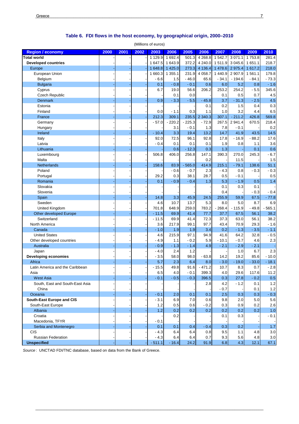#### **Table 6. FDI flows in the host economy, by geographical origin, 2000–2010**

(Millions of euros)

| <b>Region / economy</b>         | 2000 | 2001 | 2002 | 2003    | 2006            | 2005     | 2006        | 2007     | 2008        | 2009    | 2010     |
|---------------------------------|------|------|------|---------|-----------------|----------|-------------|----------|-------------|---------|----------|
| <b>Total world</b>              |      |      |      | 1 129.9 | 1 692.4         | 501.3    | 4 2 68.8    | 1 542.7  | 3 0 7 1 . 1 | 1753.8  | 281.4    |
| <b>Developed countries</b>      |      |      |      | 1 647.5 | 1 643.9         | 372.2    | 4 240.0     | 1511.9   | 3 0 4 5 . 6 | 1 651.1 | 218.7    |
| Europe                          |      |      |      |         | 1 648.8 1 425.0 | 273.3    | 4 1 3 6 . 4 | 1 478.6  | 2 975.4     | 1 617.2 | 218.0    |
| European Union                  |      |      |      | 1 660.3 | 1 355.1         | 231.9    | 4 0 58.7    | 1 440.9  | 2 907.9     | 1 561.1 | 179.8    |
| Belgium                         |      |      |      | - 6.6   | 1.5             | $-46.0$  | 65.6        | $-34.1$  | $-194.6$    | $-84.1$ | $-73.3$  |
| <b>Bulgaria</b>                 |      |      |      | 0.1     | $-0.8$          | $-0.1$   | 0.6         | 6.0      | 5.2         | 0.8     | $-1.6$   |
| Cyprus                          |      |      |      | 6.7     | 19.0            | 56.6     | 206.2       | 253.2    | 254.2       | $-5.5$  | 345.6    |
| Czech Republic                  |      |      |      |         | 0.1             | 0.0      |             | 0.1      | 0.5         | 0.7     | 4.5      |
| <b>Denmark</b>                  |      |      |      | 0.9     | $-3.3$          | $-5.5$   | $-45.8$     | 3.7      | $-31.3$     | $-2.5$  | 4.5      |
| Estonia                         |      |      |      |         |                 |          | 0.1         | 0.2      | 1.5         | 0.4     | 0.3      |
| Finland                         |      |      |      | 0.0     | $-1.1$          | 0.3      | 1.1         | 1.0      | 3.2         | 4.4     | 6.5      |
| France                          |      |      |      | 212.3   | 309.1           | 235.5    | 2 3 4 0 . 3 | 307.1    | $-211.2$    | 426.8   | 569.8    |
| Germany                         |      |      |      | $-57.0$ | $-220.2$        | $-225.3$ | $-72.9$     | 267.5    | 2 941.4     | 670.5   | 218.4    |
| Hungary                         |      |      |      |         | 3.1             | $-0.1$   | 1.3         | 7.8      | $-0.1$      |         | 0.2      |
| Ireland                         |      |      |      | $-10.4$ | 3.3             | 19.4     | 13.2        | 14.7     | 41.9        | 43.5    | 14.5     |
| Italy                           |      |      |      | 92.0    | 72.5            | 96.1     | 92.8        | 17.8     | $-16.9$     | $-88.2$ | 17.6     |
| Latvia                          |      |      |      | $-0.4$  | 0.1             | 0.1      | 0.1         | 1.9      | 0.8         | 1.1     | 3.6      |
| Lithuania                       |      |      |      |         | 0.6             | $-12.3$  | 0.3         | 1.3      |             | 0.1     | 0.6      |
| Luxembourg                      |      |      |      | 506.8   | 406.0           | 256.8    | 147.1       | 390.3    | 270.0       | 245.3   | $-6.7$   |
| Malta                           |      |      |      |         |                 |          | 0.2         |          | 11.5        |         | 1.5      |
| <b>Netherlands</b>              |      |      |      | 158.6   | 83.9            | $-565.0$ | 414.9       | 215.1    | $-79.1$     | 138.6   | 51.1     |
| Poland                          |      |      |      |         | $-0.6$          | $-0.7$   | 2.3         | $-4.3$   | 0.8         | $-0.3$  | $-0.3$   |
| Portugal                        |      |      |      | 29.2    | 0.3             | 38.1     | 28.7        | 0.5      | $-0.1$      |         | 0.5      |
| Romania                         |      |      |      | 0.1     | $-0.9$          | $-0.4$   | 1.3         | 5.3      | $-1.9$      | 0.5     | 1.4      |
| Slovakia                        |      |      |      |         |                 |          |             | 0.1      | 0.3         | 0.1     |          |
| Slovenia                        |      |      |      |         |                 |          |             | 0.4      |             | $-0.3$  | $-0.4$   |
| Spain                           |      |      |      | 14.8    | 3.3             | 45.9     | 24.5        | 255.9    | 59.9        | 67.5    | $-77.8$  |
| Sweden                          |      |      |      | 4.6     | 10.7            | 13.7     | 5.3         | 8.0      | 5.0         | 8.7     | 6.9      |
| United Kingdom                  |      |      |      | 701.8   | 648.9           | 259.0    | 783.2       | $-268.4$ | $-115.9$    | $-49.8$ | $-565.1$ |
| Other developed Europe          |      |      |      | $-11.5$ | 69.9            | 41.4     | 77.7        | 37.7     | 67.5        | 56.1    | 38.2     |
| Switzerland                     |      |      |      | $-11.5$ | 69.9            | 41.4     | 72.3        | 37.3     | 63.0        | 56.1    | 38.2     |
| North America                   |      |      |      | 3.6     | 217.9           | 99.1     | 97.7        | 43.4     | 70.9        | 29.3    | $-1.6$   |
| Canada                          |      |      |      | - 1.0   | 1.9             | 1.9      | 3.4         | 0.2      | $-1.3$      | $-3.5$  | $-1.1$   |
| <b>United States</b>            |      |      |      | 4.6     | 215.9           | 97.1     | 94.9        | 41.6     | 64.2        | 32.8    | $-0.5$   |
| Other developed countries       |      |      |      | $-4.9$  | 1.1             | $-0.2$   | 5.9         | $-10.1$  | $-0.7$      | 4.6     | 2.3      |
| Australia                       |      |      |      | $-0.9$  | $-1.3$          | $-1.4$   | 4.9         | $-2.1$   | $-2.9$      | $-2.1$  |          |
| Japan                           |      |      |      | $-4.0$  | 2.4             | 1.2      |             |          | 1.0         | 6.7     | 2.3      |
| Developing economies            |      |      |      | $-3.5$  | 58.0            | 98.0     | $-63.8$     | 14.2     | 19.2        | 85.6    | $-10.0$  |
| Africa                          |      |      |      | 5.7     | 2.3             | 6.4      | 8.0         | $-3.0$   | $-19.0$     | $-33.0$ | $-18.1$  |
| Latin America and the Caribbean |      |      |      | $-15.5$ | 49.8            | 91.6     | $-471.2$    | 10.7     | 8.3         | 0.7     | $-2.8$   |
| Asia                            |      |      |      | 6.5     | $4.0$           | $-0.1$   | 399.3       | 4.0      | 29.6        | 117.6   | 11.2     |
| <b>West Asia</b>                |      |      |      | $-0.1$  | $-0.5$          | $-0.3$   | 396.5       | 0.3      | 27.8        | $-0.2$  | 0.5      |
| South, East and South-East Asia |      |      |      |         |                 |          | 2.8         | 4.2      | $-1.2$      | 0.1     | 1.2      |
| China                           |      |      |      |         |                 |          |             | $-0.7$   |             | 0.1     | 1.2      |
| Oceania                         |      |      |      | $-0.1$  | 2.0             | 0.1      | 0.1         | 2.5      | 0.3         | 0.3     | $-0.3$   |
| South-East Europe and CIS       |      |      |      | $-3.1$  | 6.9             | 7.0      | 0.6         | 9.8      | 2.0         | 5.0     | 5.6      |
| South-East Europe               |      |      |      | 1.2     | 0.5             | 0.6      | $-0.2$      | 0.3      | 0.9         | 0.2     | 2.6      |
| Albania                         |      |      |      | $1.2$   | 0.2             | 0.2      | 0.2         | 0.2      | 0.2         | 0.2     | 1.0      |
| Croatia                         |      |      |      |         | 0.2             |          |             | 0.1      | 0.3         |         | $-0.1$   |
| Macedonia, TFYR                 |      |      |      | $-0.1$  |                 |          |             |          |             |         |          |
| Serbia and Montenegro           |      |      |      | 0.1     | 0.1             | 0.4      | $-0.4$      | 0.3      | 0.2         |         | 1.7      |
| CIS                             |      |      |      | $-4.3$  | 6.4             | 6.4      | 0.8         | 9.5      | 1.1         | 4.8     | 3.0      |
| <b>Russian Federation</b>       |      |      |      | $-4.3$  | 6.4             | 6.4      | 0.7         | 9.3      | 5.6         | 4.8     | 3.0      |
| <b>Unspecified</b>              |      |      |      | 511.1   | $-16.4$         | 24.2     | 91.9        | 6.8      | 4.3         | 12.1    | 67.1     |

\_\_\_\_\_\_\_\_\_\_\_\_\_\_\_\_\_\_\_\_\_\_\_\_\_\_\_\_\_\_\_\_\_\_\_\_\_\_\_\_\_\_\_\_\_\_\_\_\_\_\_\_\_\_\_\_\_\_\_\_\_\_\_\_\_\_\_\_\_\_\_\_\_\_\_\_\_\_\_\_\_\_\_\_\_\_\_\_\_\_\_\_\_\_\_\_\_\_\_\_\_\_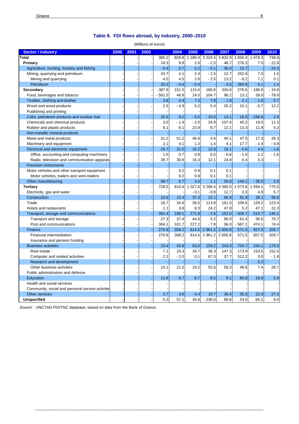(Millions of euros)

| <b>Sector / industry</b>                         | 2000 | 2001 | 2002 |          | 2004   | 2005          | 2006          | 2007            | 2008     | 2009     | 2010    |
|--------------------------------------------------|------|------|------|----------|--------|---------------|---------------|-----------------|----------|----------|---------|
| <b>Total</b>                                     |      |      |      | 365.2    |        | 828.8 1 180.4 | 3 2 2 4 .4    | 3 8 3 2.9       | 1 650.4  | 1 479.3  | 738.8   |
| Primary                                          |      |      |      | 24.3     | 9.8    | 2.6           | $-2.5$        | 48.7            | 276.3    | 7.0      | $-22.8$ |
| Agriculture, hunting, forestry and fishing       |      |      |      | $-0.4$   | 5.7    | 0.2           | $-0.1$        | 36.0            | 23.7     |          | $-24.3$ |
| Mining, quarrying and petroleum                  |      |      |      | 24.7     | 4.1    | 2.4           | $-2.5$        | 12.7            | 252.6    | 7.0      | 1.5     |
| Mining and quarrying                             |      |      |      | 4.5      | 4.5    | 2.8           | $-2.5$        | 13.2            | $-8.2$   | 7.1      | 0.1     |
| Petroleum                                        |      |      |      | 20.2     | $-0.4$ | $-0.4$        |               | $-0.5$          | 260.8    | $-0.1$   | 1.4     |
| Secondary                                        |      |      |      | $-387.9$ | 151.5  | 115.6         | 166.6         | 330.6           | 276.5    | $-186.9$ | $-19.9$ |
| Food, beverages and tobacco                      |      |      |      | $-561.5$ | 48.9   | 24.0          | 104.7         | 96.2            | 13.1     | 39.0     | $-79.9$ |
| Textiles, clothing and leather                   |      |      |      | 3.8      | 4.4    | 7.3           | 7.8           | $-1.8$          | 2.1      | $-1.6$   | 5.7     |
| Wood and wood products                           |      |      |      | 2.5      | $-4.9$ | 0.2           | 5.4           | 20.2            | 15.1     | $-0.7$   | 12.2    |
| Publishing and printing                          |      |      |      |          |        |               |               |                 |          |          |         |
| Coke, petroleum products and nuclear fuel        |      |      |      | 25.5     | 9.2    | $-6.0$        | $-10.6$       | 14.1            | $-16.0$  | $-246.8$ | 2.9     |
| Chemicals and chemical products                  |      |      |      | 3.0      | $-1.9$ | $-2.0$        | 34.8          | 107.4           | 40.2     | 19.0     | 11.3    |
| Rubber and plastic products                      |      |      |      | 6.1      | 8.1    | 23.9          | 8.7           | 12.1            | 13.3     | 11.8     | 5.2     |
| Non-metallic mineral products                    |      |      |      |          |        |               |               |                 |          |          |         |
| Metal and metal products                         |      |      |      | 31.2     | 51.2   | 46.9          | 0.6           | 40.1            | 47.5     | 17.3     | 26.3    |
| Machinery and equipment                          |      |      |      | 2.1      | 4.1    | 1.3           | 1.4           | 4.1             | 17.7     | $-1.4$   | $-4.8$  |
| Electrical and electronic equipment              |      |      |      | 29.7     | 31.5   | 16.2          | 12.6          | 18.1            | $-0.6$   | 4.5      | $-1.6$  |
| Office, accounting and computing machinery       |      |      |      | 1.0      | 0.7    | 0.8           | 0.5           | $-6.8$          | $-1.0$   | 1.2      | $-1.6$  |
| Radio, television and communication apparatu     |      |      |      | 28.7     | 30.8   | 15.4          | 12.1          | 24.9            | 0.4      | 3.3      |         |
| <b>Precision instruments</b>                     |      |      |      |          |        |               |               |                 |          |          |         |
| Motor vehicles and other transport equipment     |      |      |      |          | 0.2    | 0.9           | 0.1           | 0.1             |          |          |         |
| Motor vehicles, trailers and semi-trailers       |      |      |      |          | 0.2    | 0.9           | 0.1           | 0.1             |          |          |         |
| Other manufacturing                              |      |      |      | 69.7     | 0.7    | 3.0           | 1.1           | 20.0            | 144.1    | $-28.0$  | 2.8     |
| Tertiary                                         |      |      |      | 728.5    | 610.4  | 1 0 27.6      | 3 2 9 6.4     | 3 3 8 5 . 0     | 1 073.6  | 1 594.1  | 775.5   |
| Electricity, gas and water                       |      |      |      |          |        | $-0.1$        | $-0.8$        | 12.7            | 0.3      | 4.9      | 5.7     |
| Construction                                     |      |      |      | 10.6     | 10.4   | 37.3          | 22.1          | 66.9            | 61.9     | 38.1     | 56.8    |
| Trade                                            |      |      |      | 16.7     | 34.8   | 39.5          | 113.8         | 161.0           | 109.6    | 129.2    | 123.4   |
| Hotels and restaurants                           |      |      |      | 1.1      | 3.8    | 8.3           | 24.2          | 47.8            | 5.2      | 47.1     | 22.3    |
| Transport, storage and communications            |      |      |      | 391.4    | 199.1  | 271.8         | $-2.6$        | 152.0           | $-505.7$ | 510.7    | 145.1   |
| Transport and storage                            |      |      |      | 27.3     | 37.4   | 44.6          | 5.2           | 96.0            | 61.4     | 36.6     | 70.7    |
| Post and communications                          |      |      |      | 364.1    | 161.7  | 227.2         | $-7.8$        | 56.0            | $-567.1$ | 474.1    | 74.4    |
| Finance                                          |      |      |      | 270.8    | 308.2  | 614.5         |               | 2 961.2 2 656.8 | 571.5    | 657.5    | 209.7   |
| Financial intermediation                         |      |      |      | 270.8    | 308.2  |               | 614.5 2 961.2 | 2656.8          | 571.5    | 657.5    | 209.7   |
| Insurance and pension funding                    |      |      |      |          |        |               |               |                 |          |          |         |
| <b>Business activities</b>                       |      |      |      | 23.4     | 43.8   | 53.0          | 159.2         | 243.3           | 734.7    | 164.1    | 179.3   |
| Real estate                                      |      |      |      | 7.1      | 24.3   | 34.7          | 36.3          | 147.3           | 173.9    | 153.5    | 152.5   |
| Computer and related activities                  |      |      |      | 2.2      | $-2.0$ | 0.1           | 67.3          | 37.7            | 512.2    | 3.0      | $-1.9$  |
| Research and development                         |      |      |      |          |        |               |               |                 |          | 0.2      |         |
| Other business activities                        |      |      |      | 14.1     | 21.5   | 18.2          | 55.6          | 58.3            | 48.6     | 7.4      | 28.7    |
| Public administration and defence                |      |      |      |          |        |               |               |                 |          |          |         |
| Education                                        |      |      |      | 11.8     | 6.7    | 6.7           | 8.5           | 8.1             | 60.8     | 19.6     | 5.9     |
| Health and social services                       |      |      |      |          |        |               |               |                 |          |          |         |
| Community, social and personal service activitie |      |      |      |          |        |               |               |                 |          |          |         |
| Other services                                   |      |      |      | 2.7      | 3.6    | $-3.4$        | 10.7          | 36.4            | 35.3     | 22.9     | 27.3    |
| <b>Unspecified</b>                               |      |      |      | 0.3      | 57.1   | 34.6          | $-236.0$      | 68.6            | 24.0     | 65.1     | 6.0     |

\_\_\_\_\_\_\_\_\_\_\_\_\_\_\_\_\_\_\_\_\_\_\_\_\_\_\_\_\_\_\_\_\_\_\_\_\_\_\_\_\_\_\_\_\_\_\_\_\_\_\_\_\_\_\_\_\_\_\_\_\_\_\_\_\_\_\_\_\_\_\_\_\_\_\_\_\_\_\_\_\_\_\_\_\_\_\_\_\_\_\_\_\_\_\_\_\_\_\_\_\_\_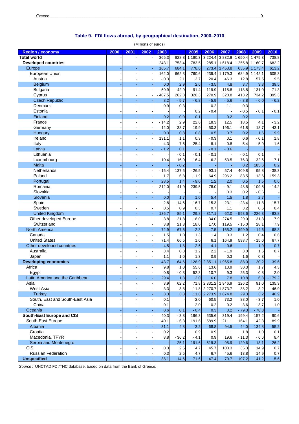## **Table 9. FDI flows abroad, by geographical destination, 2000–2010**

(Millions of euros)

| <b>Region / economy</b>         | 2000 | 2001 | 2002 | 2003     |              | 2005    | 2006            | 2007                 | 2008                    | 2009          | 2010           |
|---------------------------------|------|------|------|----------|--------------|---------|-----------------|----------------------|-------------------------|---------------|----------------|
| <b>Total world</b>              |      |      |      | 365.3    | 828.8        | 1 180.3 | 3 2 2 4 .4      |                      | 3 832.9 1 650.4 1 479.3 |               | 738.8          |
| <b>Developed countries</b>      |      |      |      | 243.1    | 753.4        | 783.5   | 285.1           |                      | 1 618.4 1 255.8 1 160.7 |               | 682.2          |
| Europe                          |      |      |      | 165.7    | 684.1        | 778.6   | 273.4           | 1 4 5 3.8            |                         | 655.9 1 173.4 | 613.2          |
| European Union                  |      |      |      | 162.0    | 662.3        | 760.6   | 239.4           | 1 179.3              |                         | 684.9 1 142.1 | 605.3          |
| Austria                         |      |      |      | $-0.3$   | 2.1          | 3.7     | 20.4            | 46.3                 | 12.8                    | 57.5          | 9.5            |
| Belgium                         |      |      |      | 0.0      | 2.9          | 2.6     | $-3.5$          | 4.8                  | 3.7                     | 3.8           | 39.5           |
| <b>Bulgaria</b>                 |      |      |      | 50.9     | 42.9         | 91.4    | 119.9           | 115.8                | 118.8                   | 131.0         | 71.3           |
| Cyprus                          |      |      |      | $-407.5$ | 262.3        | 320.3   | 270.9           | 320.8                | 413.2                   | 734.2         | 395.3          |
| <b>Czech Republic</b>           |      |      |      | 8.2      | $-5.7$       | $-6.8$  | $-5.9$          | $-5.6$               | $-3.8$                  | $-6.0$        | $-6.2$         |
| Denmark                         |      |      |      | 0.9      | 0.3          |         | $-0.2$          | 1.1                  | 0.3                     |               |                |
| Estonia                         |      |      |      |          |              | 0.2     | $-0.4$          |                      | $-0.5$                  | $-0.1$        | $-0.1$         |
| Finland                         |      |      |      | 0.2      | 0.0          | 0.1     |                 | 0.2                  | 0.2                     |               |                |
| France                          |      |      |      | 14.2     | 2.9          | 22.6    | 18.3            | 12.5                 | 18.5                    | 4.1           | $-3.2$         |
| Germany                         |      |      |      | 12.0     | 38.7         | 19.9    | 50.3            | 196.1                | 61.8                    | 18.7          | 43.1           |
| Hungary                         |      |      |      | 0.3      | 0.8          | 0.8     | 0.5             | 0.7                  | 0.2                     | 1.6           | 19.9           |
| Ireland                         |      |      |      | 131.1    | 1.1          | 0.3     | $-0.3$          | 0.1                  | 0.6                     | $-0.1$        | 1.8            |
| Italy                           |      |      |      | 4.3      | 7.6          | 25.4    | 8.1             | $-0.8$               | 5.4                     | $-5.9$        | 1.6            |
| Latvia                          |      |      |      | $-1.2$   | 0.1          |         | $-0.1$          | $-0.6$               |                         |               |                |
| Lithuania                       |      |      |      |          | $-0.1$       | $-0.1$  | $-0.1$          |                      | $-0.1$                  | 0.1           |                |
| Luxembourg<br><b>Malta</b>      |      |      |      | 10.4     | 16.9         | 16.4    | 6.2             | 53.5                 | 76.3                    | 32.6          | $-7.1$         |
| Netherlands                     |      |      |      |          | $-0.2$       |         |                 |                      | 0.2                     | 185.6         | 0.2            |
| Poland                          |      |      |      | $-15.4$  | 137.5<br>6.8 | $-26.5$ | $-93.1$         | 57.4<br>296.2        | 409.8<br>83.5           | 95.8<br>13.6  | $-38.3$        |
|                                 |      |      |      | 1.7      |              | 11.9    | 64.9            |                      |                         |               | 159.3          |
| Portugal<br>Romania             |      |      |      | 28.5     | 1.4<br>41.9  | $-9.0$  | 1.2<br>78.0     | 2.0<br>$-9.1$        | 0.5<br>48.5             | 1.5<br>109.5  | 0.6<br>$-14.2$ |
| Slovakia                        |      |      |      | 212.0    |              | 239.5   |                 | 0.3                  | 0.2                     |               |                |
| Slovenia                        |      |      |      | 0.0      | 1.7          | 1.0     | 5.4             | 1.5                  | 1.8                     | $-0.6$<br>2.7 |                |
| Spain                           |      |      |      | 2.8      | 14.6         | 16.7    | 15.3            | 23.1                 | 23.4                    | $-11.8$       | 15.7           |
| Sweden                          |      |      |      | 0.5      | 0.9          | 0.3     | 0.7             | 1.1                  | 3.2                     | 0.6           | 0.4            |
| <b>United Kingdom</b>           |      |      |      | 136.7    | 85.1         | 29.8    | $-317.1$        | 62.0                 | $-593.6$                | 226.3         | $-83.8$        |
| Other developed Europe          |      |      |      | 3.8      | 21.8         | 18.0    | 34.0            | 274.5                | $-29.0$                 | 31.3          | 7.9            |
| Switzerland                     |      |      |      | 3.8      | 21.8         | 18.0    | 17.0            | 119.5                | $-15.0$                 | 28.1          | 7.9            |
| <b>North America</b>            |      |      |      | 72.9     | 67.5         | 2.3     | 7.5             | 165.2                | 599.9                   | $-14.6$       | 68.3           |
| Canada                          |      |      |      | 1.5      | 1.0          | 1.3     | 1.4             | 0.3                  | 1.2                     | 0.4           | 0.6            |
| <b>United States</b>            |      |      |      | 71.4     | 66.5         | 1.0     | 6.1             | 164.9                | 598.7                   | $-15.0$       | 67.7           |
| Other developed countries       |      |      |      | 4.5      | 1.8          | 2.6     | 4.1             | $-0.6$               |                         | 1.9           | 0.7            |
| Australia                       |      |      |      | 3.4      | 0.8          | 1.2     | 2.2             | $-1.9$               | 3.0                     | 1.6           | 0.7            |
| Japan                           |      |      |      | 1.1      | 1.0          | 1.3     | 0.9             | 0.3                  | 1.6                     | 0.3           |                |
| <b>Developing economies</b>     |      |      |      | 43.7     | 64.6         |         | $128.9$ 2 351.1 | 1 965.8              | 88.0                    | 20.2          | $-39.6$        |
| Africa                          |      |      |      | 9.8      | 1.0          | 55.6    | 13.6            | 10.9                 | 30.3                    | 1.7           | 4.3            |
| Egypt                           |      |      |      | 0.8      | $-0.3$       | 52.3    | 10.7            | 9.3                  | 25.3                    | 0.8           | 2.0            |
| Latin America and the Caribbean |      |      |      | 29.4     | 1.3          | 2.0     | 6.0             | 7.8                  | 10.8                    | 6.3           | $-179.2$       |
| Asia                            |      |      |      | 3.9      | 62.2         |         | 71.8 2 331.2    | 1946.9               | 126.2                   | 91.0          | 135.3          |
| West Asia                       |      |      |      | 3.3      | 3.8          |         |                 | 11.8 2 270.7 1 873.7 | 38.2                    | 3.2           | 46.9           |
| <b>Turkey</b>                   |      |      |      | 3.3      | 3.8          |         |                 | 11.8 2 273.9 1 874.8 | 29.3                    | 3.2           | 46.9           |
| South, East and South-East Asia |      |      |      | 0.1      |              | 2.0     | 60.5            | 73.2                 | 88.0                    | $-3.7$        | 1.0            |
| China                           |      |      |      | 0.1      |              | 2.0     | $-0.2$          | 0.2                  | $-3.6$                  | $-3.7$        | 1.0            |
| Oceania                         |      |      |      | 0.6      | 0.1          | $-0.4$  | 0.3             | 0.2                  | $-79.3$                 | $-78.8$       |                |
| South-East Europe and CIS       |      |      |      | 40.3     | $-3.8$       | 196.3   | 635.6           | 319.4                | 199.4                   | 157.2         | 90.6           |
| South-East Europe               |      |      |      | 40.1     | $-6.3$       | 191.6   | 589.9           | 211.1                | 164.1                   | 142.3         | 89.9           |
| Albania                         |      |      |      | 31.1     | 4.8          | 3.2     | 68.8            | 94.5                 | 44.0                    | 134.8         | 55.2           |
| Croatia                         |      |      |      | 0.2      |              | 0.9     | 0.9             | 1.1                  | 1.8                     | 1.0           | 0.1            |
| Macedonia, TFYR                 |      |      |      | 8.8      | $-36.2$      | $-4.1$  | 0.9             | 19.6                 | $-11.3$                 | $-6.6$        | 8.4            |
| Serbia and Montenegro           |      |      |      |          | 25.1         | 191.6   | 519.3           | 95.9                 | 129.6                   | 13.1          | 26.2           |
| <b>CIS</b>                      |      |      |      | 0.3      | 2.5          | 4.7     | 45.7            | 108.3                | 35.3                    | 14.9          | 0.7            |
| <b>Russian Federation</b>       |      |      |      | 0.3      | 2.5          | 4.7     | 6.7             | 45.6                 | 13.8                    | 14.9          | 0.7            |
| <b>Unspecified</b>              |      |      |      | 38.1     | 14.6         | 71.6    | $-47.4$         | $-70.7$              | 107.2                   | 141.2         | 5.6            |

\_\_\_\_\_\_\_\_\_\_\_\_\_\_\_\_\_\_\_\_\_\_\_\_\_\_\_\_\_\_\_\_\_\_\_\_\_\_\_\_\_\_\_\_\_\_\_\_\_\_\_\_\_\_\_\_\_\_\_\_\_\_\_\_\_\_\_\_\_\_\_\_\_\_\_\_\_\_\_\_\_\_\_\_\_\_\_\_\_\_\_\_\_\_\_\_\_\_\_\_\_\_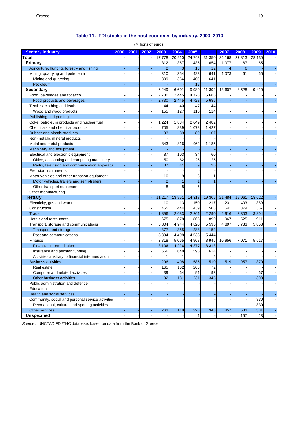#### **Sector / industry 2000 2001 2002 2003 2004 2005 2007 2008 2009 2010 Total** - - - 17 778 20 910 24 743 31 350 36 168 27 813 28 130 - **Primary** - - - 312 357 436 654 1 077 67 65 - Agriculture, hunting, forestry and fishing  $\begin{vmatrix} -1 & -1 & -1 & 2 & 3 & 13 & 12 & 4 & 6 \end{vmatrix}$ Mining, quarrying and petroleum 1. - - - - 310 354 423 641 1 073 61 65 Mining and quarrying  $\begin{vmatrix} 1 & 1 & 1 \\ 1 & 1 & 1 \end{vmatrix}$  -  $\begin{vmatrix} 1 & 1 & 1 \\ -1 & 1 & 1 \end{vmatrix}$  - 309 354 406 641 Petroleum - - - - - 17 - - - - - **Secondary** - - - 6 249 6 601 9 989 11 392 13 607 8 528 9 420 - Food, beverages and tobacco  $\begin{vmatrix} 1 & 1 & -1 \\ 1 & -1 & 2 & 730 \\ 2 & 445 & 4728 \end{vmatrix}$  4728 5685 Food products and beverages  $\begin{vmatrix} 1 & 1 & 1 \\ 1 & 1 & 1 \end{vmatrix}$   $\begin{vmatrix} 1 & 1 & 1 \\ -1 & 1 & 1 \end{vmatrix}$   $\begin{vmatrix} 2 & 730 & 2 & 445 \\ 2 & 730 & 2 & 45 \end{vmatrix}$  4.728 5.685 Textiles, clothing and leather  $\begin{vmatrix} 1 & 1 & 1 \\ -1 & -1 & -1 \end{vmatrix}$   $\begin{vmatrix} 44 & 40 & 47 \\ -1 & -1 & 44 \end{vmatrix}$   $\begin{vmatrix} 44 & 40 & 47 \\ -1 & -1 & 44 \end{vmatrix}$ Wood and wood products  $\begin{vmatrix} 1 & -1 & -1 & -1 \\ 1 & -1 & -1 & -1 \end{vmatrix}$  127 | 115 | 114 Publishing and printing Coke, petroleum products and nuclear fuel  $\begin{array}{|c|c|c|c|c|c|c|c|c|} \hline \end{array}$  - 1 224 1 834 2 649 2 482 Chemicals and chemical products  $\begin{vmatrix} 1 & 1 & -1 \\ 1 & -1 & -1 \end{vmatrix}$  705 839 1 078 1 427 Rubber and plastic products  $\begin{vmatrix} 1 & 1 & -1 \\ 1 & -1 & -1 \end{vmatrix}$  and  $\begin{vmatrix} 89 & 89 \\ 107 & -11 \end{vmatrix}$  and  $\begin{vmatrix} 1 & 1 & -1 \\ 1 & -1 & 1 \end{vmatrix}$  and  $\begin{vmatrix} 1 & 1 & -1 \\ 1 & 1 & 1 \end{vmatrix}$  and  $\begin{vmatrix} 1 & 1 & -1 \\ 1 & 1 & 1 \end{vmatrix}$  and  $\begin{vmatrix} 1 & 1 &$ Non-metallic mineral products Metal and metal products and the set of the set of the set of the set of the set of the set of the set of the s Machinery and equipment Electrical and electronic equipment  $\begin{vmatrix} 1 & -1 & -1 & -1 & 87 \\ 1 & -1 & -1 & 87 & 103 \\ 1 & 1 & 1 & 1 & 103 \\ 1 & 1 & 1 & 1 & 103 \end{vmatrix}$  60 Office, accounting and computing machinery  $\begin{vmatrix} 1 & -1 & -1 & -1 \\ -1 & -1 & -1 & 50 \\ -1 & -1 & -1 & -1 \end{vmatrix}$  62 25 25 Radio, television and communication apparature  $\begin{array}{ccc} - & - & - & - & - \end{array}$   $\begin{array}{ccc} - & - & - \end{array}$  37 41 9 35 Precision instruments Motor vehicles and other transport equipment | - | - | - | 10 9 6 1 Motor vehicles, trailers and semi-trailers  $\begin{vmatrix} 1 & 1 & 2 & 1 \end{vmatrix}$  1 1 1 Other transport equipment  $\begin{vmatrix} 1 & 1 & 1 \\ 1 & -1 & -1 \\ 1 & -1 & 8 \end{vmatrix}$   $\begin{vmatrix} 8 & 8 \\ 1 & -1 \\ 1 & -1 \end{vmatrix}$   $\begin{vmatrix} 8 & 8 \\ 1 & -1 \\ 1 & -1 \end{vmatrix}$ Other manufacturing **Tertiary** - - - 11 217 13 951 14 318 19 305 21 484 19 061 18 622 - Electricity, gas and water  $\begin{vmatrix} 1 & 1 & 1 \\ 1 & -1 & 1 \end{vmatrix}$   $\begin{vmatrix} 1 & 1 & 1 \\ 1 & 1 & 1 \end{vmatrix}$  150 217 231 403 389 - Construction - - - - - - - - - - - - 455 444 439 508 541 379 367 -Trade - - - 1 896 2 083 2 261 2 290 2 916 3 303 3 804 - Hotels and restaurants - - - - - - - - - - - - - - - - - - 878 866 890 967 525 911 Transport, storage and communications  $\begin{vmatrix} 1 & -1 & -1 \\ 1 & -1 & -1 \end{vmatrix}$  3 804 4 944 4 820 5 596 4 897 5 733 5 853 Transport and storage  $\begin{vmatrix} 1 & 1 \\ 1 & 1 \end{vmatrix}$  -  $\begin{vmatrix} 1 & 377 \\ 377 & 355 \end{vmatrix}$  288 152 Post and communications - - - 3 394 4 498 4 533 5 444 - - - - Finance - - - 3 818 5 065 4 968 8 946 10 956 7 071 5 517 - Financial intermediation and  $\begin{vmatrix} 1 & 1 & 1 \\ 1 & 1 & 1 \end{vmatrix}$  -  $\begin{vmatrix} 1 & 1 & 1 \\ 1 & 1 & 1 \end{vmatrix}$  3 106 4 226 4 377 8 318 Insurance and pension funding  $\begin{vmatrix} 1 & 1 & 1 \\ 1 & -1 & -1 \end{vmatrix}$   $\begin{vmatrix} 1 & 1 & 1 \\ -1 & -1 & -1 \end{vmatrix}$  666 648 595 624 Activities auxiliary to financial intermediation  $\begin{vmatrix} 1 & 1 & 1 & 1 \end{vmatrix}$  1  $\begin{vmatrix} 1 & 4 & 5 \end{vmatrix}$ Business activities - - - - - - - 296 408 585 510 519 957 370 Real estate - - - 165 162 263 72 - - - - Computer and related activities **- - - 39 64 91 93 - - 67**<br>Other business activities - - - 92 181 231 345 - - 303 Other business activities - - - - 92 181 231 345 - 303 Public administration and defence Education - - - - - - - - - - - Health and social services Community, social and personal service activities - - - - - - - - - - - - - - - - - 830 Recreational, cultural and sporting activities | - | - | - | - | - | - | - | - | 830 Other services - - - 263 118 228 348 457 533 581 - **Unspecified** - - - - - 1 - - 157 23 -

\_\_\_\_\_\_\_\_\_\_\_\_\_\_\_\_\_\_\_\_\_\_\_\_\_\_\_\_\_\_\_\_\_\_\_\_\_\_\_\_\_\_\_\_\_\_\_\_\_\_\_\_\_\_\_\_\_\_\_\_\_\_\_\_\_\_\_\_\_\_\_\_\_\_\_\_\_\_\_\_\_\_\_\_\_\_\_\_\_\_\_\_\_\_\_\_\_\_\_\_\_\_

#### **Table 11. FDI stocks in the host economy, by industry, 2000–2010**

(Millions of euros)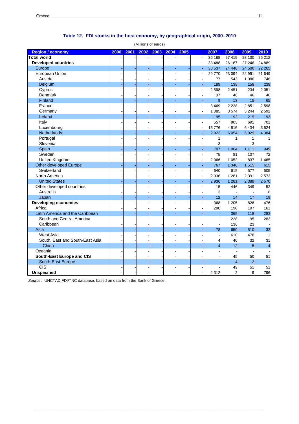| <b>Region / economy</b>         | 2000 | 2001 | 2002 | 2003 | 2004 | 2005 | 2007                    | 2008           | 2009    | 2010         |
|---------------------------------|------|------|------|------|------|------|-------------------------|----------------|---------|--------------|
| <b>Total world</b>              |      |      |      |      |      |      | 36 168                  | 27419          | 28 130  | 26 21 2      |
| <b>Developed countries</b>      |      |      |      |      |      |      | 33 488                  | 26 167         | 27 24 6 | 24 889       |
| Europe                          |      |      |      |      |      |      | 30 537                  | 24 4 4 0       | 24 50 6 | 22 26 5      |
| European Union                  |      |      |      |      |      |      | 29 770                  | 23 094         | 22 991  | 21 649       |
| Austria                         |      |      |      |      |      |      | 77                      | 543            | 1 0 8 6 | 746          |
| <b>Belgium</b>                  |      |      |      |      |      |      | 189                     | 138            | 158     | 239          |
| Cyprus                          |      |      |      |      |      |      | 2 5 9 8                 | 2 4 5 1        | 234     | 2 0 5 1      |
| Denmark                         |      |      |      |      |      |      | 37                      | 46             | 46      | 46           |
| Finland                         |      |      |      |      |      |      | 9                       | 13             | 15      | 65           |
| France                          |      |      |      |      |      |      | 3 4 6 9                 | 2 2 2 8        | 2851    | 2 5 9 8      |
| Germany                         |      |      |      |      |      |      | 1 0 8 5                 | 3574           | 3 2 4 4 | 2 5 9 2      |
| Ireland                         |      |      |      |      |      |      | 195                     | 192            | 219     | 193          |
| Italy                           |      |      |      |      |      |      | 557                     | 905            | 691     | 701          |
| Luxembourg                      |      |      |      |      |      |      | 15776                   | 4816           | 6434    | 5 5 2 4      |
| <b>Netherlands</b>              |      |      |      |      |      |      | 2 9 2 2                 | 6 0 5 4        | 5929    | 4 3 8 4      |
| Portugal                        |      |      |      |      |      |      | 1                       | 1              | 1       | 1            |
| Slovenia                        |      |      |      |      |      |      | 3                       |                | 3       |              |
| Spain                           |      |      |      |      |      |      | 707                     | 1 0 0 4        | 1 1 1 1 | 949          |
| Sweden                          |      |      |      |      |      |      | 75                      | 81             | 107     | 72           |
| United Kingdom                  |      |      |      |      |      |      | 2 0 6 6                 | 1 0 5 2        | 837     | 1 4 6 5      |
| Other developed Europe          |      |      |      |      |      |      | 767                     | 1 3 4 6        | 1515    | 615          |
| Switzerland                     |      |      |      |      |      |      | 640                     | 618            | 577     | 505          |
| North America                   |      |      |      |      |      |      | 2936                    | 1 2 8 1        | 2 3 9 1 | 2 5 7 3      |
| <b>United States</b>            |      |      |      |      |      |      | 2 9 3 6                 | 1 2 8 1        | 2 3 8 8 | 2 5 7 0      |
| Other developed countries       |      |      |      |      |      |      | 15                      | 446            | 349     | 52           |
| Australia                       |      |      |      |      |      |      | 3                       |                |         | 8            |
| Japan                           |      |      |      |      |      |      | 12                      | 14             | 17      | 19           |
| <b>Developing economies</b>     |      |      |      |      |      |      | 368                     | 1 2 0 5        | 826     | 476          |
| Africa                          |      |      |      |      |      |      | 290                     | 190            | 197     | 161          |
| Latin America and the Caribbean |      |      |      |      |      |      |                         | 365            | 118     | 283          |
| South and Central America       |      |      |      |      |      |      |                         | 228            | 95      | 283          |
| Caribbean                       |      |      |      |      |      |      |                         | 136            | 23      |              |
| Asia                            |      |      |      |      |      |      | 78                      | 650            | 510     | 32           |
| West Asia                       |      |      |      |      |      |      |                         | 610            | 478     | $\mathbf{1}$ |
| South, East and South-East Asia |      |      |      |      |      |      | 4                       | 40             | 32      | 31           |
| China                           |      |      |      |      |      |      | $\overline{\mathbf{4}}$ | 12             | 5       | 4            |
| Oceania                         |      |      |      |      |      |      |                         |                |         |              |
| South-East Europe and CIS       |      |      |      |      |      |      |                         | 45             | 50      | 51           |
| South-East Europe               |      |      |      |      |      |      |                         | $-4$           | $-2$    |              |
| <b>CIS</b>                      |      |      |      |      |      |      |                         | 49             | 51      | 51           |
| <b>Unspecified</b>              |      |      |      |      |      |      | 2 3 1 2                 | $\overline{2}$ | 9       | 796          |

\_\_\_\_\_\_\_\_\_\_\_\_\_\_\_\_\_\_\_\_\_\_\_\_\_\_\_\_\_\_\_\_\_\_\_\_\_\_\_\_\_\_\_\_\_\_\_\_\_\_\_\_\_\_\_\_\_\_\_\_\_\_\_\_\_\_\_\_\_\_\_\_\_\_\_\_\_\_\_\_\_\_\_\_\_\_\_\_\_\_\_\_\_\_\_\_\_\_\_\_\_\_

#### **Table 12. FDI stocks in the host economy, by geographical origin, 2000–2010**

(Millions of euros)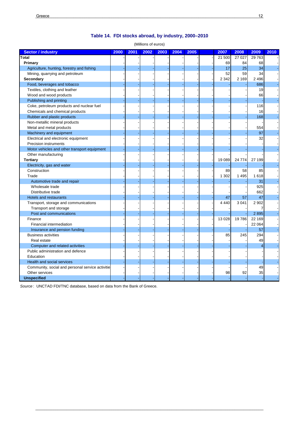## **Table 14. FDI stocks abroad, by industry, 2000–2010**

(Millions of euros)

| <b>Sector / industry</b>                         | 2000 | 2001 | 2002 | 2003 | 2004 | 2005 | 2007    | 2008    | 2009    | 2010 |
|--------------------------------------------------|------|------|------|------|------|------|---------|---------|---------|------|
| <b>Total</b>                                     |      |      |      |      |      |      | 21 500  | 27 0 27 | 29 7 63 |      |
| Primary                                          |      |      |      |      |      |      | 69      | 84      | 68      |      |
| Agriculture, hunting, forestry and fishing       |      |      |      |      |      |      | 17      | 25      | 34      |      |
| Mining, quarrying and petroleum                  |      |      |      |      |      |      | 52      | 59      | 34      |      |
| Secondary                                        |      |      |      |      |      |      | 2 3 4 2 | 2 1 6 9 | 2 4 9 6 |      |
| Food, beverages and tobacco                      |      |      |      |      |      |      |         |         | 686     |      |
| Textiles, clothing and leather                   |      |      |      |      |      |      |         |         | 19      |      |
| Wood and wood products                           |      |      |      |      |      |      |         |         | 66      |      |
| Publishing and printing                          |      |      |      |      |      |      |         |         |         |      |
| Coke, petroleum products and nuclear fuel        |      |      |      |      |      |      |         |         | 116     |      |
| Chemicals and chemical products                  |      |      |      |      |      |      |         |         | 16      |      |
| Rubber and plastic products                      |      |      |      |      |      |      |         |         | 168     |      |
| Non-metallic mineral products                    |      |      |      |      |      |      |         |         |         |      |
| Metal and metal products                         |      |      |      |      |      |      |         |         | 554     |      |
| Machinery and equipment                          |      |      |      |      |      |      |         |         | 97      |      |
| Electrical and electronic equipment              |      |      |      |      |      |      |         |         | 32      |      |
| <b>Precision instruments</b>                     |      |      |      |      |      |      |         |         |         |      |
| Motor vehicles and other transport equipment     |      |      |      |      |      |      |         |         |         |      |
| Other manufacturing                              |      |      |      |      |      |      |         |         |         |      |
| <b>Tertiary</b>                                  |      |      |      |      |      |      | 19 089  | 24 774  | 27 199  |      |
| Electricity, gas and water                       |      |      |      |      |      |      |         |         |         |      |
| Construction                                     |      |      |      |      |      |      | 89      | 58      | 85      |      |
| Trade                                            |      |      |      |      |      |      | 1 3 0 2 | 1 4 9 5 | 1618    |      |
| Automotive trade and repair                      |      |      |      |      |      |      |         |         | 31      |      |
| Wholesale trade                                  |      |      |      |      |      |      |         |         | 925     |      |
| Distributive trade                               |      |      |      |      |      |      |         |         | 662     |      |
| <b>Hotels and restaurants</b>                    |      |      |      |      |      |      | 47      | 57      | 47      |      |
| Transport, storage and communications            |      |      |      |      |      |      | 4 4 4 0 | 3 0 4 1 | 2 9 0 2 |      |
| Transport and storage                            |      |      |      |      |      |      |         |         |         |      |
| Post and communications                          |      |      |      |      |      |      |         |         | 2895    |      |
| Finance                                          |      |      |      |      |      |      | 13 0 28 | 19786   | 22 169  |      |
| Financial intermediation                         |      |      |      |      |      |      |         |         | 22 064  |      |
| Insurance and pension funding                    |      |      |      |      |      |      |         |         | 57      |      |
| <b>Business activities</b>                       |      |      |      |      |      |      | 85      | 245     | 294     |      |
| Real estate                                      |      |      |      |      |      |      |         |         | 49      |      |
| Computer and related activities                  |      |      |      |      |      |      |         |         |         |      |
| Public administration and defence                |      |      |      |      |      |      |         |         |         |      |
| Education                                        |      |      |      |      |      |      |         |         |         |      |
| Health and social services                       |      |      |      |      |      |      |         |         |         |      |
| Community, social and personal service activitie |      |      |      |      |      |      |         |         | 49      |      |
| Other services                                   |      |      |      |      |      |      | 98      | 92      | 35      |      |
| <b>Unspecified</b>                               |      |      |      |      |      |      |         |         |         |      |

\_\_\_\_\_\_\_\_\_\_\_\_\_\_\_\_\_\_\_\_\_\_\_\_\_\_\_\_\_\_\_\_\_\_\_\_\_\_\_\_\_\_\_\_\_\_\_\_\_\_\_\_\_\_\_\_\_\_\_\_\_\_\_\_\_\_\_\_\_\_\_\_\_\_\_\_\_\_\_\_\_\_\_\_\_\_\_\_\_\_\_\_\_\_\_\_\_\_\_\_\_\_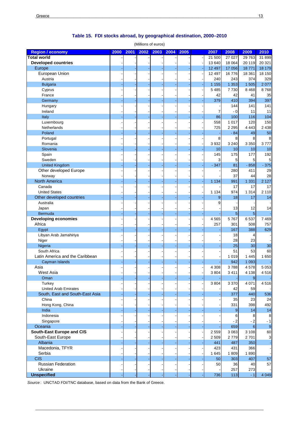#### **Region / economy 2000 2001 2002 2003 2004 2005 2007 2008 2009 2010 Total world** - - - - - - - 21 500 27 027 29 763 31 899 **Developed countries**  $\begin{vmatrix} \cdot & \cdot & \cdot & \cdot \\ \cdot & \cdot & \cdot & \cdot \end{vmatrix}$   $\begin{vmatrix} \cdot & \cdot & \cdot \\ \cdot & \cdot & \cdot \end{vmatrix}$   $\begin{vmatrix} \cdot & \cdot & \cdot \\ \cdot & \cdot & \cdot \end{vmatrix}$   $\begin{vmatrix} \cdot & \cdot & \cdot \\ \cdot & \cdot & \cdot \end{vmatrix}$   $\begin{vmatrix} \cdot & \cdot & \cdot \\ \cdot & \cdot & \cdot \end{vmatrix}$   $\begin{vmatrix} \cdot & \cdot & \cdot & \cdot \\ \cdot & \cdot & \cdot & \cdot \end{vm$ Europe - - - - - - - 12 497 17 056 18 771 18 179 European Union - - - - - - - 12 497 16 776 18 361 18 150 Austria - - - - - - - 240 243 374 329 Bulgaria - - - - | - | -| -| -| -| -| -| 1155| 1353| 1 505| 2 077 Cyprus - - - - - - - - - - - - - - - - - - 5 485 7 730 8 468 8 768 France - - - - - - - 42 42 41 35 Germany - - - - - - - 379 410 394 397 Hungary - - - - - - - - 144 141 141 Ireland - - - - - - - 7 - 0 11 11 Italy - - - - - - - 86 100 116 104 Luxembourg - - - - - - - 558 1 017 120 150 Netherlands - - - - - - - 725 2 295 4 443 2 438 Poland - - - - - - - - - 84 49 50 Portugal ------- 8 8 8 8 Romania - - - - - - - 3 932 3 240 3 350 3 777 Slovenia - - - | -| -| -| -| -| -| -| 10| 10| 10| 10 Spain - - - - - - - 145 175 177 192 Sweden ------- 3 5 5 5 United Kingdom - - - - - - - - 347 81 - 858 - 375 Other developed Europe - - - - - - - - - - - - - - - - 280 411 29 Norway - - - - - - - - 37 44 28 North America - - - - - - - 1 134 991 1 331 2 127 Canada - - - - - - - - 17 17 17 United States - - - - - - - 1 134 974 1 314 2 110 Other developed countries **- - - - - - - - - - - - - - - 9** 18 17 14 Australia - - - - - - - 9 - - - Japan - - - - - - - - 13 12 14 Bermuda - - - - - - - - 5 5 - **Developing economies**  $\begin{vmatrix} \cdot & \cdot & \cdot & \cdot \\ \cdot & \cdot & \cdot & \cdot \end{vmatrix}$   $\begin{vmatrix} \cdot & \cdot & \cdot \\ \cdot & \cdot & \cdot \\ \cdot & \cdot & \cdot \end{vmatrix}$   $\begin{vmatrix} \cdot & \cdot & \cdot \\ \cdot & \cdot & \cdot \\ \cdot & \cdot & \cdot \end{vmatrix}$   $\begin{vmatrix} \cdot & \cdot & \cdot \\ \cdot & \cdot & \cdot \\ \cdot & \cdot & \cdot \end{vmatrix}$   $\begin{vmatrix} \cdot & \cdot & \cdot \\ \cdot & \cdot & \cdot \\ \cdot & \cdot & \cdot \end{vmatrix$ Africa - - - - - - - 257 301 508 757 Egypt - - - - - - - - 167 388 629 Libyan Arab Jamahiriya - - - - - - - - 18 4 - Niger - - - - - - - - 28 23 - Nigeria - - - - - - - - 25 30 30 South Africa - - - - - - - - 51 53 60 Latin America and the Caribbean - - - - - - - - - 1019 1 445 1 650<br>- Cayman Islands - - - - - - - - - - 942 1093 Cayman Islands  $\begin{vmatrix} 1 & 1 & 1 \\ 1 & 1 & 1 \end{vmatrix}$   $\begin{vmatrix} 1 & 1 & 1 \\ 1 & 1 & 1 \end{vmatrix}$   $\begin{vmatrix} 942 & 1 \\ 1 & 1 & 1 \end{vmatrix}$ Asia - - - - - - - 4 308 3 788 4 578 5 053 West Asia - - - - - - - 3 804 3 411 4 138 4 516 Oman - - - - - - - - - 9 - Turkey - - - - - - - 3 804 3 370 4 071 4 516 United Arab Emirates **- - - - - - - - - - - - 42** 59 -<br>outh, East and South-East Asia - - - - - - - - - - - - - - 377 440 536 South, East and South-East Asia | | | | | | | | | | | | | | | 377 | 140 China - - - - - - - - 35 23 24 Hong Kong, China - - - - - - - - 331 398 492 India - - - - - - - - 9 14 14 Indonesia ------- - 6 8 8 Singapore - - - - - - - - - 2 - 2 - 1 Oceania - - - - - - - - 659 6 9 **South-East Europe and CIS**  $\begin{vmatrix} 1 & 1 & 1 & 1 \\ 1 & -1 & -1 & -1 \\ 1 & -1 & -1 & -1 \end{vmatrix}$   $\begin{vmatrix} 2 & 559 & 3 & 083 \\ 2 & 559 & 3 & 083 \end{vmatrix}$  and  $\begin{vmatrix} 3 & 0 & 0 & 0 \\ 0 & 0 & 0 & 0 \\ 0 & 0 & 0 & 0 \\ 0 & 0 & 0 & 0 \end{vmatrix}$ South-East Europe - - - - - - - - - - - - - 2 509 2 779 2 701 3 Albania - - - - | -| -| -| -| -| -| -| 441 487 350 -Macedonia, TFYR - - - - - - - - - - - - 423 431 366 - | Serbia - | - | - | - | - | - | - | - | 1645 | 1899 | 1890 | -CIS - - - - - - - 50 303 407 57 Russian Federation **Russian Federation 1** - - - - - - - - - - 50 36 40 57 Ukraine - - - - - - - - 257 273 - **Unspecified** - - - - - - - 736 113 - 1 4 049

\_\_\_\_\_\_\_\_\_\_\_\_\_\_\_\_\_\_\_\_\_\_\_\_\_\_\_\_\_\_\_\_\_\_\_\_\_\_\_\_\_\_\_\_\_\_\_\_\_\_\_\_\_\_\_\_\_\_\_\_\_\_\_\_\_\_\_\_\_\_\_\_\_\_\_\_\_\_\_\_\_\_\_\_\_\_\_\_\_\_\_\_\_\_\_\_\_\_\_\_\_\_

#### **Table 15. FDI stocks abroad, by geographical destination, 2000–2010**

(Millions of euros)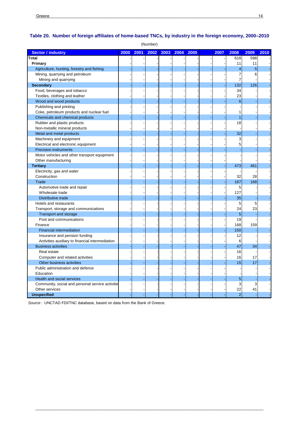#### **Sector / industry 2000 2001 2002 2003 2004 2005 2007 2008 2009 2010 Total** - - - - - - - - 618 598 - **Primary** - - - - - - - - 11 11 - Agriculture, hunting, forestry and fishing  $\begin{vmatrix} 1 & 1 & 1 \\ 1 & -1 & -1 \\ 1 & -1 & -1 \end{vmatrix}$  -  $\begin{vmatrix} 1 & 1 & 1 \\ -1 & -1 & -1 \\ 1 & -1 & -1 \end{vmatrix}$  - 4 5 Mining, quarrying and petroleum -------- 7 6- Mining and quarrying and the second second and the second of the second second and the second second second second second second second second second second second second second second second second second second second se **Secondary** - - - - - - - - 132 126 - Food, beverages and tobacco and the set of the set of the set of the set of the set of the set of the set of the set of the set of the set of the set of the set of the set of the set of the set of the set of the set of the Textiles, clothing and leather  $\begin{vmatrix} 1 & 1 & 1 \\ 1 & -1 & -1 \end{vmatrix}$  -  $\begin{vmatrix} -1 & 1 & 1 \\ -1 & -1 & -1 \end{vmatrix}$  - 23 Wood and wood products  $\begin{vmatrix} -1 & -1 & -1 \\ 1 & -1 & -1 \end{vmatrix}$   $\begin{vmatrix} -1 & -1 & -1 \\ -1 & -1 & -1 \end{vmatrix}$   $\begin{vmatrix} -1 & -1 & -1 \\ -1 & -1 & -1 \end{vmatrix}$ Publishing and printing Coke, petroleum products and nuclear fuel  $\begin{vmatrix} 1 & -1 & -1 & -1 \\ 1 & -1 & -1 & -1 \end{vmatrix}$  -  $\begin{vmatrix} 1 & -1 & -1 \\ -1 & -1 & -1 \end{vmatrix}$  - 1 Chemicals and chemical products Rubber and plastic products  $\begin{vmatrix} 1 & 1 & 1 \\ 1 & -1 & -1 \end{vmatrix}$   $\begin{vmatrix} -1 & 1 & 1 \\ -1 & -1 & -1 \end{vmatrix}$   $\begin{vmatrix} -1 & 1 & 18 \\ -1 & -1 & 18 \end{vmatrix}$ Non-metallic mineral products Metal and metal products  $\begin{vmatrix} 1 & 1 & 1 \\ 1 & -1 & -1 \\ 1 & -1 & -1 \end{vmatrix}$  -  $\begin{vmatrix} 1 & 1 & 1 \\ -1 & -1 & -1 \\ 1 & -1 & -1 \end{vmatrix}$  32 Machinery and equipment  $\begin{vmatrix} 1 & -1 & -1 & -1 & -1 & -1 \\ 1 & -1 & -1 & -1 & -1 & -1 \end{vmatrix}$  -  $\begin{vmatrix} 1 & -1 & -1 & -1 \\ -1 & -1 & -1 & -1 \end{vmatrix}$ Electrical and electronic equipment  $\begin{vmatrix} 1 & -1 & -1 & -1 & -1 \\ -1 & -1 & -1 & -1 \end{vmatrix}$ Precision instruments Motor vehicles and other transport equipment Other manufacturing **Tertiary** - - - - - - - - 473 461 - Electricity, gas and water Construction - - - - - - - - 32 28 - Trade - - - - - - - - 167 168 - Automotive trade and repair -------- 5 -- Wholesale trade - - - - - - - - 127 - - Distributive trade - - - - - - - - 35 - - Hotels and restaurants -------- 5 5- Transport, storage and communications  $\begin{vmatrix} 1 & 1 & 1 \\ 1 & -1 & -1 \end{vmatrix}$   $\begin{vmatrix} -1 & 1 & 1 \\ -1 & -1 & -1 \end{vmatrix}$   $\begin{vmatrix} -1 & 1 & 24 \\ -1 & -1 & 24 \end{vmatrix}$ Transport and storage  $\begin{vmatrix} 1 & -1 & -1 & -1 & -1 & -1 & -1 & -1 & -1 & 5 \end{vmatrix}$ Post and communications - - - - - - - - 19 - - Finance - - - - - - - - 168 159 - Financial intermediation  $\begin{vmatrix} 1 & 1 & 1 \\ 1 & -1 & -1 \end{vmatrix}$   $\begin{vmatrix} 1 & 1 & 1 \\ -1 & -1 & -1 \end{vmatrix}$   $\begin{vmatrix} 1 & 1 & 1 \\ -1 & -1 & 1 \end{vmatrix}$ Insurance and pension funding  $\begin{vmatrix} 1 & 1 & 1 \\ 1 & -1 & -1 \end{vmatrix}$   $\begin{vmatrix} -1 & 1 & 1 \\ -1 & -1 & -1 \end{vmatrix}$   $\begin{vmatrix} -1 & 1 & 1 \\ -1 & -1 & 1 \end{vmatrix}$ Activities auxiliary to financial intermediation  $\begin{vmatrix} 1 & 1 & 1 \\ 1 & -1 & -1 \\ 1 & -1 & -1 \end{vmatrix}$  6 Business activities  $\begin{vmatrix} 1 & 1 & 1 \\ 1 & -1 & -1 \end{vmatrix}$   $\begin{vmatrix} 1 & 1 & 1 \\ -1 & -1 & -1 \end{vmatrix}$   $\begin{vmatrix} 1 & 1 & 1 \\ -1 & -1 & -1 \end{vmatrix}$   $\begin{vmatrix} 47 & 34 & 1 \\ -1 & 47 & 1 \end{vmatrix}$ Real estate - - - - - - - - 16 - - Computer and related activities **- - - - - - - - - - - - - - - - - -** 16 17 Other business activities - - - - - - - - 15 17 - Public administration and defence Education - - - - - - - - - - - Health and social services -------- 5 -- Community, social and personal service activities and the service of the service of the service activities and the service activities and the service activities and the service activities and the service activities and the Other services - - - - - - - - 22 41 - **Unspecified** -------- 2 --

\_\_\_\_\_\_\_\_\_\_\_\_\_\_\_\_\_\_\_\_\_\_\_\_\_\_\_\_\_\_\_\_\_\_\_\_\_\_\_\_\_\_\_\_\_\_\_\_\_\_\_\_\_\_\_\_\_\_\_\_\_\_\_\_\_\_\_\_\_\_\_\_\_\_\_\_\_\_\_\_\_\_\_\_\_\_\_\_\_\_\_\_\_\_\_\_\_\_\_\_\_\_

#### **Table 20. Number of foreign affiliates of home-based TNCs, by industry in the foreign economy, 2000–2010**

(Number)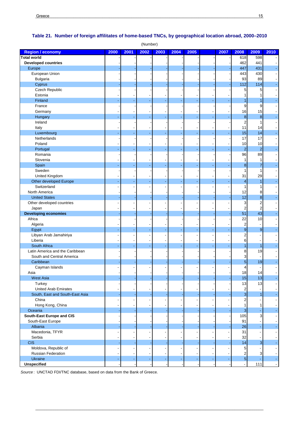## **Table 21. Number of foreign affilitates of home-based TNCs, by geographical location abroad, 2000–2010**

(Number)

| <b>Region / economy</b>         | 2000 | 2001 | 2002 | 2003 | 2004 | 2005 | 2007 | 2008                    | 2009           | 2010                     |
|---------------------------------|------|------|------|------|------|------|------|-------------------------|----------------|--------------------------|
| <b>Total world</b>              |      |      |      |      |      |      |      | 618                     | 598            |                          |
| <b>Developed countries</b>      |      |      |      |      |      |      |      | 462                     | 441            |                          |
| Europe                          |      |      |      |      |      |      |      | 447                     | 431            |                          |
| European Union                  |      |      |      |      |      |      |      | 443                     | 430            |                          |
| <b>Bulgaria</b>                 |      |      |      |      |      |      |      | 93                      | 89             |                          |
| Cyprus                          |      |      |      |      |      |      |      | $112$                   | 114            |                          |
| Czech Republic                  |      |      |      |      |      |      |      | 5                       | 5              |                          |
|                                 |      |      |      |      |      |      |      |                         |                |                          |
| Estonia                         |      |      |      |      |      |      |      | 1                       |                |                          |
| Finland                         |      |      |      |      |      |      |      | $\overline{1}$          | 1              |                          |
| France                          |      |      |      |      |      |      |      | 9                       | 9              |                          |
| Germany                         |      |      |      |      |      |      |      | 16                      | 15             |                          |
| Hungary                         |      |      |      |      |      |      |      | $\bf 8$                 | $\bf 8$        |                          |
| Ireland                         |      |      |      |      |      |      |      | $\sqrt{2}$              | 1              |                          |
| Italy                           |      |      |      |      |      |      |      | 11                      | 14             |                          |
| Luxembourg                      |      |      |      |      |      |      |      | 15                      | 14             |                          |
| Netherlands                     |      |      |      |      |      |      |      | 17                      | 17             |                          |
| Poland                          |      |      |      |      |      |      |      | 10                      | $10$           |                          |
| Portugal                        |      |      |      |      |      |      |      | $\overline{2}$          | $\overline{2}$ |                          |
| Romania                         |      |      |      |      |      |      |      | 96                      | 89             |                          |
| Slovenia                        |      |      |      |      |      |      |      | 1                       | 1              |                          |
| Spain                           |      |      |      |      |      |      |      | $\bf 8$                 | $\overline{7}$ |                          |
| Sweden                          |      |      |      |      |      |      |      | $\mathbf{1}$            | 1              |                          |
| United Kingdom                  |      |      |      |      |      |      |      | 31                      | 29             |                          |
| Other developed Europe          |      |      |      |      |      |      |      | $\overline{4}$          | $\overline{1}$ |                          |
| Switzerland                     |      |      |      |      |      |      |      | 1                       | 1              |                          |
|                                 |      |      |      |      |      |      |      |                         |                |                          |
| North America                   |      |      |      |      |      |      |      | 12                      | 8              |                          |
| <b>United States</b>            |      |      |      |      |      |      |      | 12                      | 8              |                          |
| Other developed countries       |      |      |      |      |      |      |      | 3                       | $\overline{c}$ |                          |
| Japan                           |      |      |      |      |      |      |      | $\boldsymbol{2}$        | $\overline{c}$ |                          |
| <b>Developing economies</b>     |      |      |      |      |      |      |      | 51                      | 43             |                          |
| Africa                          |      |      |      |      |      |      |      | 22                      | 10             |                          |
| Algeria                         |      |      |      |      |      |      |      | $\overline{\mathbf{c}}$ |                |                          |
| Egypt                           |      |      |      |      |      |      |      | $\overline{9}$          | 9              |                          |
| Libyan Arab Jamahiriya          |      |      |      |      |      |      |      | 2                       |                |                          |
| Liberia                         |      |      |      |      |      |      |      | 6                       |                |                          |
| South Africa                    |      |      |      |      |      |      |      |                         | $\overline{1}$ |                          |
| Latin America and the Caribbean |      |      |      |      |      |      |      | 8                       | 19             |                          |
| South and Central America       |      |      |      |      |      |      |      | 3                       |                |                          |
| Caribbean                       |      |      |      |      |      |      |      | $\overline{5}$          | 19             |                          |
| Cayman Islands                  |      |      |      |      |      |      |      | 4                       |                |                          |
| Asia                            |      |      |      |      |      |      |      | 18                      | 14             |                          |
| <b>West Asia</b>                |      |      |      |      |      |      |      | 15                      | 13             | ۳                        |
| Turkey                          |      |      |      |      |      |      |      | 13                      | 13             |                          |
| <b>United Arab Emirates</b>     |      |      |      |      |      |      |      | $\mathbf{2}$            |                |                          |
| South, East and South-East Asia |      |      |      |      |      |      |      | $\overline{3}$          | $\overline{1}$ |                          |
| China                           |      |      |      |      |      |      |      | $\mathbf 2$             |                |                          |
| Hong Kong, China                |      |      |      |      |      |      |      | $\mathbf{1}$            |                | -                        |
|                                 |      |      |      |      |      |      |      |                         | 1              |                          |
| Oceania                         |      |      |      |      |      |      |      | $\overline{3}$          |                | $\blacksquare$           |
| South-East Europe and CIS       |      |      |      |      |      |      |      | 105                     | 3              |                          |
| South-East Europe               |      |      |      |      |      |      |      | 91                      |                | $\overline{\phantom{a}}$ |
| Albania                         |      |      |      |      |      |      |      | 26                      | ٠              | ٠                        |
| Macedonia, TFYR                 |      |      |      |      |      |      |      | 31                      |                |                          |
| Serbia                          |      |      |      |      |      |      |      | 32                      |                |                          |
| <b>CIS</b>                      |      |      |      |      |      |      |      | 14                      | 3              |                          |
| Moldova, Republic of            |      |      |      |      |      |      |      | 5                       | $\overline{a}$ |                          |
| Russian Federation              |      |      |      |      |      |      |      | $\overline{a}$          | 3              | $\overline{\phantom{m}}$ |
| Ukraine                         |      |      |      | ٠    |      |      | ÷,   | 5 <sup>1</sup>          | $\omega$       | $\blacksquare$           |
| <b>Unspecified</b>              |      |      |      |      |      |      |      |                         | 111            | $\blacksquare$           |

\_\_\_\_\_\_\_\_\_\_\_\_\_\_\_\_\_\_\_\_\_\_\_\_\_\_\_\_\_\_\_\_\_\_\_\_\_\_\_\_\_\_\_\_\_\_\_\_\_\_\_\_\_\_\_\_\_\_\_\_\_\_\_\_\_\_\_\_\_\_\_\_\_\_\_\_\_\_\_\_\_\_\_\_\_\_\_\_\_\_\_\_\_\_\_\_\_\_\_\_\_\_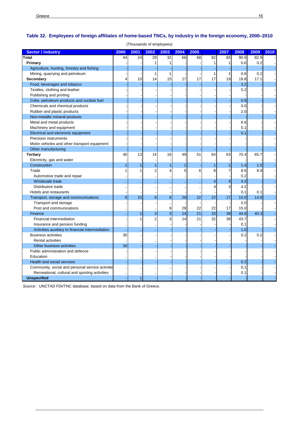## **Table 32. Employees of foreign affiliates of home-based TNCs, by industry in the foreign economy, 2000–2010**

| <b>Sector / industry</b>                         | 2000      | 2001 | 2002           | 2003           | 2004 | 2005 |              | 2007           | 2008 | 2009 | 2010 |
|--------------------------------------------------|-----------|------|----------------|----------------|------|------|--------------|----------------|------|------|------|
| Total                                            | 44        | 24   | 29             | 32             | 66   | 68   | 82           | 83             | 90.9 | 82.9 |      |
| Primary                                          |           |      | $\mathbf{1}$   | $\mathbf{1}$   |      |      | 1            | 1              | 0.6  | 0.2  |      |
| Agriculture, hunting, forestry and fishing       |           |      |                |                |      |      |              |                |      |      |      |
| Mining, quarrying and petroleum                  |           |      | 1              | 1              |      |      | 1            | 1              | 0.6  | 0.2  |      |
| Secondary                                        | 4         | 10   | 14             | 15             | 17   | 17   | 17           | 19             | 19.8 | 17.1 |      |
| Food, beverages and tobacco                      |           |      |                |                |      |      |              |                | 3.2  |      |      |
| Textiles, clothing and leather                   |           |      |                |                |      |      |              |                | 5.2  |      |      |
| Publishing and printing                          |           |      |                |                |      |      |              |                |      |      |      |
| Coke, petroleum products and nuclear fuel        |           |      |                |                |      |      |              |                | 0.9  |      |      |
| Chemicals and chemical products                  |           |      |                |                |      |      |              |                | 0.0  |      |      |
| Rubber and plastic products                      |           |      |                |                |      |      |              |                | 2.0  |      |      |
| Non-metallic mineral products                    |           |      |                |                |      |      |              |                |      |      |      |
| Metal and metal products                         |           |      |                |                |      |      |              |                | 6.6  |      |      |
| Machinery and equipment                          |           |      |                |                |      |      |              |                | 0.1  |      |      |
| Electrical and electronic equipment              |           |      |                |                |      |      |              |                | 0.1  |      |      |
| <b>Precision instruments</b>                     |           |      |                |                |      |      |              |                |      |      |      |
| Motor vehicles and other transport equipment     |           |      |                |                |      |      |              |                |      |      |      |
| Other manufacturing                              |           |      |                |                |      |      |              |                |      |      |      |
| <b>Tertiary</b>                                  | 40        | 13   | 14             | 16             | 49   | 51   | 64           | 63             | 70.4 | 65.7 |      |
| Electricity, gas and water                       |           |      |                |                |      |      |              |                |      |      |      |
| Construction                                     | 1         | И    | 1              | $\overline{1}$ |      |      | $\mathbf{1}$ | 1              | 1.4  | 1.0  |      |
| Trade                                            | 1         |      | $\overline{2}$ | 4              | 5    | 6    | 8            | 7              | 8.6  | 8.9  |      |
| Automotive trade and repair                      |           |      |                |                |      |      |              |                | 0.2  |      |      |
| Wholesale trade                                  |           |      |                |                |      |      | 4            | $\overline{4}$ | 4.3  |      |      |
| Distributive trade                               |           |      |                |                |      |      | 4            | 3              | 4.2  |      |      |
| Hotels and restaurants                           |           |      |                |                |      |      |              |                | 0.1  | 0.1  |      |
| Transport, storage and communications            | 8         | 10   | 8              | 8              | 28   | 22   | 22           | 17             | 15.0 | 14.8 |      |
| Transport and storage                            |           |      |                |                |      |      |              |                | 0.0  |      |      |
| Post and communications                          |           |      |                | 8              | 28   | 22   | 22           | 17             | 15.0 |      |      |
| Finance                                          |           | 1    | 3              | 3              | 14   | 21   | 33           | 38             | 44.8 | 40.3 |      |
| Financial intermediation                         |           |      | $\overline{2}$ | 3              | 14   | 21   | 32           | 38             | 43.7 |      |      |
| Insurance and pension funding                    |           |      |                |                |      |      |              |                | 0.1  |      |      |
| Activities auxiliary to financial intermediation | $\ddotsc$ |      |                |                |      |      |              |                | 1.0  |      |      |
| <b>Business activities</b>                       | 30        |      |                |                |      |      |              |                | 0.2  | 0.2  |      |
| <b>Rental activities</b>                         |           |      |                |                |      |      |              |                |      |      |      |
| Other business activities                        | 30        |      |                |                |      |      |              |                |      |      |      |
| Public administration and defence                |           |      |                |                |      |      |              |                |      |      |      |
| Education                                        |           |      |                |                |      |      |              |                |      |      |      |
| Health and social services                       |           |      |                |                |      |      |              |                | 0.2  |      |      |
| Community, social and personal service activitie |           |      |                |                |      |      |              |                | 0.1  |      |      |
| Recreational, cultural and sporting activities   |           |      |                |                |      |      |              |                | 0.1  |      |      |
| <b>Unspecified</b>                               |           |      |                |                |      |      |              |                |      |      |      |

\_\_\_\_\_\_\_\_\_\_\_\_\_\_\_\_\_\_\_\_\_\_\_\_\_\_\_\_\_\_\_\_\_\_\_\_\_\_\_\_\_\_\_\_\_\_\_\_\_\_\_\_\_\_\_\_\_\_\_\_\_\_\_\_\_\_\_\_\_\_\_\_\_\_\_\_\_\_\_\_\_\_\_\_\_\_\_\_\_\_\_\_\_\_\_\_\_\_\_\_\_\_

(Thousands of employees)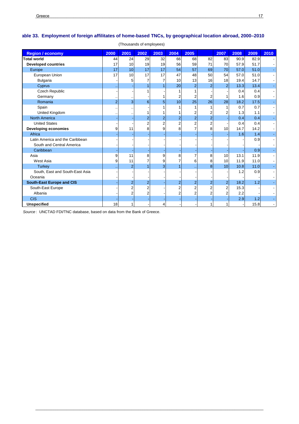## **Table 33. Employment of foreign affilitates of home-based TNCs, by geographical location abroad, 2000–2010**

| (Thousands of employees)         |                |                |                  |                |                |                |                |                 |      |      |                |
|----------------------------------|----------------|----------------|------------------|----------------|----------------|----------------|----------------|-----------------|------|------|----------------|
| <b>Region / economy</b>          | 2000           | 2001           | 2002             | 2003           | 2004           | 2005           |                | 2007            | 2008 | 2009 | 2010           |
| <b>Total world</b>               | 44             | 24             | 29               | 32             | 66             | 68             | 82             | 83              | 90.9 | 82.9 |                |
| <b>Developed countries</b>       | 17             | 10             | 19               | 19             | 56             | 59             | 71             | 70              | 57.9 | 51.7 |                |
| Europe                           | 17             | 10             | 17               | 17             | 54             | 57             | 69             | 70              | 57.0 | 51.0 |                |
| European Union                   | 17             | 10             | 17               | 17             | 47             | 48             | 50             | 54              | 57.0 | 51.0 |                |
| <b>Bulgaria</b>                  |                | 5              |                  |                | 10             | 13             | 16             | 18              | 19.4 | 14.7 |                |
| Cyprus                           |                |                |                  |                | 20             | $\overline{2}$ | $\overline{2}$ | $\overline{2}$  | 13.3 | 13.4 |                |
| <b>Czech Republic</b>            |                |                |                  |                |                |                |                |                 | 0.4  | 0.4  |                |
| Germany                          |                |                |                  |                | 2              |                | 2              | 1               | 1.6  | 0.9  |                |
| Romania                          | $\overline{2}$ | $\overline{3}$ | $6 \overline{6}$ | 5              | 10             | 25             | 26             | 28              | 18.2 | 17.5 |                |
| Spain                            |                |                |                  |                |                |                |                | 1               | 0.7  | 0.7  | $\blacksquare$ |
| <b>United Kingdom</b>            |                |                |                  |                | 1              | 2              | 2              | 2               | 1.3  | 1.1  |                |
| <b>North America</b>             |                |                | $\overline{2}$   | $\overline{2}$ | $\overline{2}$ | $\overline{2}$ | $\overline{2}$ |                 | 0.4  | 0.4  |                |
| <b>United States</b>             |                |                | $\mathfrak{p}$   | $\overline{2}$ | $\overline{2}$ | $\overline{2}$ | $\overline{2}$ |                 | 0.4  | 0.4  |                |
| <b>Developing economies</b>      | 9              | 11             |                  | 9              | 8              |                | 8              | 10              | 14.7 | 14.2 |                |
| Africa                           |                |                |                  |                |                |                |                |                 | 1.6  | 1.4  |                |
| Latin America and the Caribbean  |                |                |                  |                |                |                |                |                 |      | 0.9  |                |
| South and Central America        |                |                |                  |                |                |                |                |                 |      |      |                |
| Caribbean                        |                |                |                  |                |                |                |                |                 |      | 0.9  |                |
| Asia                             | 9              | 11             | 8                | 9              | 8              |                | 8              | 10              | 13.1 | 11.9 |                |
| West Asia                        | 9              | 11             |                  | 9              | 7              | 6              | 8              | 10              | 11.9 | 11.0 |                |
| <b>Turkey</b>                    |                | $\overline{2}$ |                  | 3              | $\mathbf{1}$   |                | 8              | 10 <sup>1</sup> | 10.8 | 11.0 |                |
| South, East and South-East Asia  |                |                |                  |                |                |                |                |                 | 1.2  | 0.9  |                |
| Oceania                          |                |                |                  |                |                |                |                |                 |      |      |                |
| <b>South-East Europe and CIS</b> |                | $\overline{2}$ | 2 <sup>1</sup>   |                | $\overline{2}$ | $\overline{2}$ | $\overline{2}$ | $\overline{2}$  | 18.2 | 1.2  |                |
| South-East Europe                |                | $\overline{2}$ | $\overline{2}$   |                | $\overline{2}$ | $\overline{2}$ | $\overline{2}$ | $\overline{a}$  | 15.3 |      |                |
| Albania                          |                | 2              | $\overline{2}$   |                | 2              | $\overline{2}$ | 2              | $\overline{2}$  | 2.2  |      |                |
| <b>CIS</b>                       |                |                |                  |                |                |                |                |                 | 2.9  | 1.2  |                |
| <b>Unspecified</b>               | 18             | 1              |                  | 4              |                |                |                | $\mathbf{1}$    |      | 15.8 |                |

\_\_\_\_\_\_\_\_\_\_\_\_\_\_\_\_\_\_\_\_\_\_\_\_\_\_\_\_\_\_\_\_\_\_\_\_\_\_\_\_\_\_\_\_\_\_\_\_\_\_\_\_\_\_\_\_\_\_\_\_\_\_\_\_\_\_\_\_\_\_\_\_\_\_\_\_\_\_\_\_\_\_\_\_\_\_\_\_\_\_\_\_\_\_\_\_\_\_\_\_\_\_

(Thousands of employees)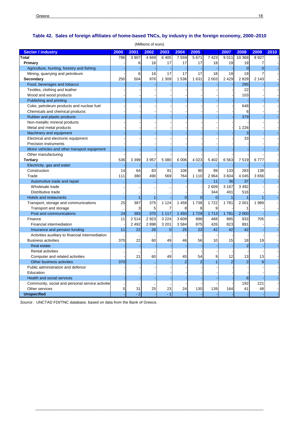## **Table 42. Sales of foreign affiliates of home-based TNCs, by industry in the foreign economy, 2000–2010**

| (Milliions of euro) |  |  |
|---------------------|--|--|
|---------------------|--|--|

| <b>Sector / industry</b>                         | 2000 | 2001           | 2002    | 2003     | 2004         | 2005           |              | 2007           | 2008           | 2009     | 2010 |
|--------------------------------------------------|------|----------------|---------|----------|--------------|----------------|--------------|----------------|----------------|----------|------|
| <b>Total</b>                                     | 786  | 3 9 0 7        | 4 9 4 9 | 6 4 0 5  | 7 5 5 9      | 5 671          | 7423         | 9011           | 10 368         | 8927     |      |
| Primary                                          |      | 6              | 16      | 17       | 17           | 17             | 18           | 19             | 19             | 7        |      |
| Agriculture, hunting, forestry and fishing       |      |                |         |          |              |                |              |                | $\Omega$       | $\Omega$ |      |
| Mining, quarrying and petroleum                  |      | 6              | 16      | 17       | 17           | 17             | 18           | 19             | 19             |          |      |
| Secondary                                        | 250  | 504            | 976     | 1 309    | 1 5 3 6      | 1631           | 2 0 0 3      | 2 4 2 9        | 2829           | 2 1 4 3  |      |
| Food, beverages and tobacco                      |      |                |         |          |              |                |              |                | 295            |          |      |
| Textiles, clothing and leather                   |      |                |         |          |              |                |              |                | 22             |          |      |
| Wood and wood products                           |      |                |         |          |              |                |              |                | 103            |          |      |
| Publishing and printing                          |      |                |         |          |              |                |              |                |                |          |      |
| Coke, petroleum products and nuclear fuel        |      |                |         |          |              |                |              |                | 648            |          |      |
| Chemicals and chemical products                  |      |                |         |          |              |                |              |                | 6              |          |      |
| Rubber and plastic products                      |      |                |         |          |              |                |              |                | 379            |          |      |
| Non-metallic mineral products                    |      |                |         |          |              |                |              |                |                |          |      |
| Metal and metal products                         |      |                |         |          |              |                |              |                | 1 2 2 6        |          |      |
| Machinery and equipment                          |      |                |         |          |              |                |              |                | 3              |          |      |
| Electrical and electronic equipment              |      |                |         |          |              |                |              |                | 33             |          |      |
| <b>Precision instruments</b>                     |      |                |         |          |              |                |              |                |                |          |      |
| Motor vehicles and other transport equipment     |      |                |         |          |              |                |              |                |                |          |      |
| Other manufacturing                              |      |                |         |          |              |                |              |                |                |          |      |
| <b>Tertiary</b>                                  | 536  | 3 3 9 9        | 3 9 5 7 | 5 0 8 0  | 6 0 06       | 4 0 23         | 5 4 0 2      | 6563           | 7519           | 6777     |      |
| Electricity, gas and water                       |      |                |         |          |              |                |              |                |                |          |      |
| Construction                                     | 14   | 64             | 83      | 91       | 106          | 90             | 99           | 133            | 283            | 138      |      |
| Trade                                            | 111  | 380            | 490     | 569      | 764          | 1 1 1 0        | 2 9 6 4      | 3 604          | 4 0 4 5        | 3 6 5 6  |      |
| Automotive trade and repair                      |      |                |         |          |              |                | 11           | 36             | 37             |          |      |
| Wholesale trade                                  |      |                |         |          |              |                | 2 609        | 3 1 6 7        | 3 4 9 2        |          |      |
| Distributive trade                               |      |                |         |          |              |                | 344          | 401            | 516            |          |      |
| <b>Hotels and restaurants</b>                    |      | $\overline{1}$ | 1       |          | $\mathbf{0}$ | $\overline{0}$ | $\mathbf{0}$ | $\mathbf{1}$   | $\overline{1}$ |          |      |
| Transport, storage and communications            | 25   | 387            | 375     | 1 1 2 4  | 1 4 5 8      | 1738           | 1722         | 1781           | 2 0 0 1        | 1989     |      |
| Transport and storage                            |      | 3              | 5       | 7        | 8            | 8              | 9            |                | 1              |          |      |
| Post and communications                          | 24   | 383            | 370     | 1 1 1 7  | 1 4 5 0      | 1729           | 1713         | 1781           | 2 0 0 0        |          |      |
| Finance                                          | 11   | 2514           | 2923    | 3 2 2 4  | 3609         | 898            | 468          | 865            | 933            | 705      |      |
| Financial intermediation                         |      | 2 4 9 2        | 2898    | 3 2 0 1  | 3584         | 875            | 426          | 823            | 891            |          |      |
| Insurance and pension funding                    | 11   | 22             | 26      | $\Omega$ | 25           | 23             | 42           | 42             | 42             |          |      |
| Activities auxiliary to financial intermediation |      |                |         |          |              |                |              |                |                |          |      |
| <b>Business activities</b>                       | 370  | 22             | 60      | 49       | 46           | 56             | 10           | 15             | 18             | 19       |      |
| <b>Real estate</b>                               |      |                |         |          |              |                |              |                | $\overline{2}$ |          |      |
| <b>Rental activities</b>                         |      |                |         |          |              |                |              |                |                |          |      |
| Computer and related activities                  |      | 21             | 60      | 49       | 45           | 54             | 9            | 12             | 13             | 13       |      |
| Other business activities                        | 370  |                |         |          |              | $\overline{2}$ | 1            | $\overline{2}$ | $\overline{2}$ | 6        |      |
| Public administration and defence                |      |                |         |          |              |                |              |                |                |          |      |
| Education                                        |      |                |         |          |              |                |              |                |                |          |      |
| Health and social services                       |      |                |         |          |              |                |              |                | 6              |          |      |
| Community, social and personal service activitie |      |                |         |          |              |                |              |                | 192            | 221      |      |
| Other services                                   | 5    | 31             | 25      | 23       | 24           | 130            | 139          | 164            | 41             | 48       |      |
| <b>Unspecified</b>                               |      | $-2$           |         | $-1$     |              |                |              |                |                |          |      |

\_\_\_\_\_\_\_\_\_\_\_\_\_\_\_\_\_\_\_\_\_\_\_\_\_\_\_\_\_\_\_\_\_\_\_\_\_\_\_\_\_\_\_\_\_\_\_\_\_\_\_\_\_\_\_\_\_\_\_\_\_\_\_\_\_\_\_\_\_\_\_\_\_\_\_\_\_\_\_\_\_\_\_\_\_\_\_\_\_\_\_\_\_\_\_\_\_\_\_\_\_\_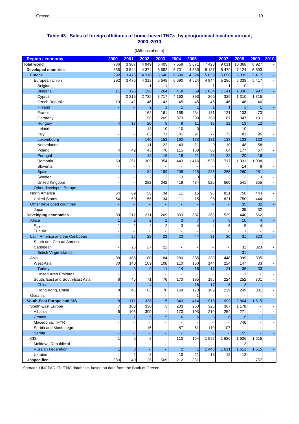#### **Table 43. Sales of foreign affilitates of home-based TNCs, by geographical location abroad, 2000–2010**

(Milliions of euro)

| <b>Region / economy</b>                      | 2000           | 2001                     | 2002           | 2003                     | 2004                     | 2005           |                | 2007                     | 2008         | 2009           | 2010 |
|----------------------------------------------|----------------|--------------------------|----------------|--------------------------|--------------------------|----------------|----------------|--------------------------|--------------|----------------|------|
| <b>Total world</b>                           | 786            | 3 9 0 7                  | 4 9 4 9        | 6 4 0 5                  | 7 5 5 9                  | 5 671          | 7423           | 9011                     | 10 368       | 8927           |      |
| <b>Developed countries</b>                   | 356            | 3544                     | 4 3 7 4        | 5 6 8 2                  | 6701                     | 4539           | 5 1 3 7        | 6479                     | 7 1 2 4      | 5893           |      |
| Europe                                       | 292            | 3 4 7 5                  | 4 3 1 8        | 5 6 4 8                  | 6 6 9 0                  | 4524           | 5 0 3 9        | 5 6 5 8                  | 6 3 3 9      | 5 4 1 7        |      |
| European Union                               | 292            | 3475                     | 4 3 1 8        | 5 6 4 8                  | 6690                     | 4 5 24         | 4844           | 5 2 8 6                  | 6 3 3 9      | 5 4 1 7        |      |
| Belgium                                      |                |                          | 1              | 1                        | 1                        | 1              | $\mathbf 1$    | 1                        | $\mathbf 0$  |                |      |
| <b>Bulgaria</b>                              | 11             | 125                      | 196            | 264                      | 418                      | 559            | 1 0 3 4        | 1 1 4 1                  | 1 3 3 0      | 997            |      |
| Cyprus                                       | $\sim$         | 2 2 1 5                  | 2725           | 3717                     | 4 1 6 3                  | 393            | 260            | 325                      | 1 3 1 0      | 1 3 1 5        |      |
| Czech Republic                               | 10             | 42                       | 46             | 43                       | 45                       | 45             | 46             | 46                       | 46           | 46             |      |
| Finland                                      |                |                          | $\overline{2}$ | $\overline{1}$           | $\mathbf{1}$             | $\mathbf{1}$   | 1              | 1                        | $\mathbf 1$  | 1              |      |
| France                                       |                | $\overline{\phantom{0}}$ | 162            | 161                      | 168                      | 234            | 131            | 121                      | 103          | 73             |      |
| Germany                                      |                |                          | 198            | 205                      | 373                      | 390            | 369            | 167                      | 347          | 191            |      |
| Hungary                                      | 4              | 17                       | 20             | 8                        | $\overline{9}$           | 11             | 13             | 12                       | 13           | 12             |      |
| Ireland                                      |                |                          | 13             | 10                       | 10                       | 0              |                |                          | 10           |                |      |
| Italy                                        |                |                          | 63             | 71                       | 81                       | 91             | 77             | 73                       | 81           | 95             |      |
| Luxembourg                                   |                | Ξ                        | 140            | 153<br>22                | 160<br>43                | 173<br>21      | 131            | 133                      | 133<br>48    | 133<br>58      |      |
| Netherlands<br>Poland                        | 4              | 42                       | 11<br>43       | 70                       | 115                      | 168            | 9<br>60        | 10<br>64                 | 177          | 67             |      |
| Portugal                                     |                |                          | 12             | 16                       | 19                       | 21             | 23             | 22                       | 20           | 16             |      |
| Romania                                      | 69             | 251                      | 309            | 354                      | 443                      | 1416           | 1 5 3 5        | 1717                     | 1 0 3 1      | 1 0 38         |      |
| Slovenia                                     |                |                          |                |                          |                          |                |                |                          | 14           | 9              |      |
| Spain                                        |                |                          | 84             | 199                      | 208                      | 226            | 235            | 265                      | 260          | 251            |      |
| Sweden                                       |                |                          | $\overline{2}$ | 3                        | 3                        | 3              | 3              | 3                        | 3            | 3              |      |
| <b>United Kingdom</b>                        |                | $\overline{\phantom{0}}$ | 282            | 342                      | 419                      | 434            | 520            | 560                      | 541          | 355            |      |
| Other developed Europe                       |                | ٠                        | ÷              | $\blacksquare$           | ٠                        | Ξ              | ٠              | ÷                        | ٠            |                |      |
| North America                                | 64             | 69                       | 56             | 34                       | 11                       | 15             | 98             | 821                      | 750          | 444            |      |
| <b>United States</b>                         | 64             | 69                       | 56             | 34                       | 11                       | 15             | 98             | 821                      | 750          | 444            |      |
| Other developed countries                    |                | ä,                       | $\sim$         |                          |                          |                | Ξ              | ÷                        | 35           | 32             |      |
| Japan                                        | $\blacksquare$ |                          |                |                          |                          |                |                |                          | 35           | 32             |      |
| <b>Developing economies</b>                  | 39             | 212                      | 211            | 209                      | 303                      | 387            | 368            | 539                      | 440          | 662            |      |
| Africa                                       | 1              | $\overline{2}$           | $\overline{2}$ | $\overline{2}$           | 3                        | $\overline{7}$ | $\overline{7}$ | 8                        | 10           | $\overline{4}$ |      |
| Egypt                                        | 1              | $\overline{\mathbf{c}}$  | $\overline{2}$ | 2                        | 3                        | 4              | 4              | 5                        | 5            | 4              |      |
| Tunisia                                      |                |                          |                |                          |                          |                |                |                          | 1            |                |      |
| Latin America and the Caribbean              |                | 25                       | 29             | 23                       | 20                       | 44             | 31             | 36                       | 31           | 323            |      |
| South and Central America                    |                |                          |                |                          |                          |                |                |                          |              |                |      |
| Caribbean                                    |                | 25                       | 27             | 21                       | $\overline{\phantom{a}}$ |                |                | $\overline{\phantom{a}}$ | 31           | 323            |      |
| <b>British Virgin Islands</b>                |                |                          | $\sim$         |                          |                          |                |                |                          | 31           |                |      |
| Asia                                         | 38             | 185                      | 180            | 184                      | 280                      | 335            | 330            | 448                      | 399          | 335            |      |
| <b>West Asia</b>                             | 30             | 140                      | 109            | 108                      | 110                      | 150            | 144            | 224                      | 147          | 33             |      |
| <b>Turkey</b><br><b>United Arab Emirates</b> |                | 3                        | 9              | 11                       | 14                       | 16             | 17             | 21                       | 36<br>111    | 33             |      |
| South, East and South-East Asia              | 8              | 45                       | 71             | 76                       | 170                      | 185            | 186            | 224                      | 252          | 301            |      |
| China                                        |                |                          | $\overline{4}$ |                          | $\overline{1}$           | 16             | 17             | 5 <sub>5</sub>           | $\mathbf{3}$ |                |      |
| Hong Kong, China                             | 8              | 45                       | 63             | 76                       | 169                      | 170            | 169            | 219                      | 249          | 301            |      |
| Oceania                                      |                |                          |                |                          |                          | $\mathbf{1}$   |                |                          |              |                |      |
| <b>South-East Europe and CIS</b>             | 8              | 111                      | 338            | 5 <sup>1</sup>           | 343                      | 414            | 1918           | 1993                     | 2 8 0 4      | 1615           |      |
| South-East Europe                            | 7              | 106                      | 330            | 5 <sup>1</sup>           | 233                      | 260            | 326            | 367                      | 1 1 7 8      |                |      |
| Albania                                      | 6              | 105                      | 309            | $\overline{\phantom{a}}$ | 170                      | 193            | 210            | 254                      | 271          |                |      |
| Croatia                                      | 1              | $\overline{1}$           | 5              | 5 <sup>5</sup>           | $6\phantom{1}$           | $6\phantom{1}$ | 6              | $6 \overline{6}$         | 6            |                |      |
| Macedonia, TFYR                              |                |                          |                |                          |                          |                |                |                          | 746          |                |      |
| Serbia and Montenegro                        |                |                          | 16             |                          | 57                       | 61             | 110            | 107                      |              |                |      |
| Serbia                                       |                |                          |                | $\blacksquare$           |                          |                |                |                          | 155          |                |      |
| <b>CIS</b>                                   | 1              | 5                        | 8              | ÷,                       | 110                      | 154            | 1 5 9 2        | 1 6 2 6                  | 1626         | 1615           |      |
| Moldova, Republic of                         |                |                          |                | $\overline{\phantom{a}}$ |                          |                |                |                          | 2            |                |      |
| <b>Russian Federation</b>                    | 1              | 3                        | $\blacksquare$ | ٠                        | $\overline{2}$           | $\overline{1}$ | 1 4 4 8        | 1611                     | 1611         | 1615           |      |
| Ukraine                                      |                | $\overline{\mathbf{c}}$  | 8              |                          | 10                       | 21             | 13             | 13                       | 12           |                |      |
| <b>Unspecified</b>                           | 383            | 40                       | 26             | 509                      | 212                      | 331            |                |                          |              | 757            |      |

\_\_\_\_\_\_\_\_\_\_\_\_\_\_\_\_\_\_\_\_\_\_\_\_\_\_\_\_\_\_\_\_\_\_\_\_\_\_\_\_\_\_\_\_\_\_\_\_\_\_\_\_\_\_\_\_\_\_\_\_\_\_\_\_\_\_\_\_\_\_\_\_\_\_\_\_\_\_\_\_\_\_\_\_\_\_\_\_\_\_\_\_\_\_\_\_\_\_\_\_\_\_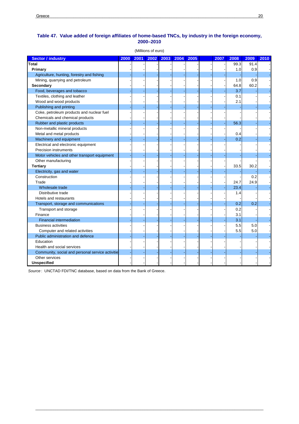#### **Table 47. Value added of foreign affiliates of home-based TNCs, by industry in the foreign economy, 2000–2010**

(Milliions of euro)

| <b>Sector / industry</b>                         | 2000 | 2001 | 2002 | 2003 | 2004 | 2005 | 2007 | 2008 | 2009 | 2010 |
|--------------------------------------------------|------|------|------|------|------|------|------|------|------|------|
| Total                                            |      |      |      |      |      |      |      | 99.3 | 91.4 |      |
| Primary                                          |      |      |      |      |      |      |      | 1.0  | 0.9  |      |
| Agriculture, hunting, forestry and fishing       |      |      |      |      |      |      |      |      |      |      |
| Mining, quarrying and petroleum                  |      |      |      |      |      |      |      | 1.0  | 0.9  |      |
| Secondary                                        |      |      |      |      |      |      |      | 64.8 | 60.2 |      |
| Food, beverages and tobacco                      |      |      |      |      |      |      |      | 3.7  |      |      |
| Textiles, clothing and leather                   |      |      |      |      |      |      |      | 0.1  |      |      |
| Wood and wood products                           |      |      |      |      |      |      |      | 2.1  |      |      |
| Publishing and printing                          |      |      |      |      |      |      |      |      |      |      |
| Coke, petroleum products and nuclear fuel        |      |      |      |      |      |      |      |      |      |      |
| Chemicals and chemical products                  |      |      |      |      |      |      |      |      |      |      |
| Rubber and plastic products                      |      |      |      |      |      |      |      | 56.3 |      |      |
| Non-metallic mineral products                    |      |      |      |      |      |      |      |      |      |      |
| Metal and metal products                         |      |      |      |      |      |      |      | 0.4  |      |      |
| Machinery and equipment                          |      |      |      |      |      |      |      | 0.2  |      |      |
| Electrical and electronic equipment              |      |      |      |      |      |      |      |      |      |      |
| <b>Precision instruments</b>                     |      |      |      |      |      |      |      |      |      |      |
| Motor vehicles and other transport equipment     |      |      |      |      |      |      |      |      |      |      |
| Other manufacturing                              |      |      |      |      |      |      |      |      |      |      |
| <b>Tertiary</b>                                  |      |      |      |      |      |      |      | 33.5 | 30.2 |      |
| Electricity, gas and water                       |      |      |      |      |      |      |      |      |      |      |
| Construction                                     |      |      |      |      |      |      |      |      | 0.2  |      |
| Trade                                            |      |      |      |      |      |      |      | 24.7 | 24.9 |      |
| Wholesale trade                                  |      |      |      |      |      |      |      | 23.4 |      |      |
| Distributive trade                               |      |      |      |      |      |      |      | 1.4  |      |      |
| Hotels and restaurants                           |      |      |      |      |      |      |      |      |      |      |
| Transport, storage and communications            |      |      |      |      |      |      |      | 0.2  | 0.2  |      |
| Transport and storage                            |      |      |      |      |      |      |      | 0.2  |      |      |
| Finance                                          |      |      |      |      |      |      |      | 3.1  |      |      |
| <b>Financial intermediation</b>                  |      |      |      |      |      |      |      | 3.1  |      |      |
| <b>Business activities</b>                       |      |      |      |      |      |      |      | 5.5  | 5.0  |      |
| Computer and related activities                  |      |      |      |      |      |      |      | 5.5  | 5.0  |      |
| Public administration and defence                |      |      |      |      |      |      |      |      |      |      |
| Education                                        |      |      |      |      |      |      |      |      |      |      |
| Health and social services                       |      |      |      |      |      |      |      |      |      |      |
| Community, social and personal service activitie |      |      |      |      |      |      |      |      |      |      |
| Other services                                   |      |      |      |      |      |      |      |      |      |      |
| <b>Unspecified</b>                               |      |      |      |      |      |      |      |      |      |      |

\_\_\_\_\_\_\_\_\_\_\_\_\_\_\_\_\_\_\_\_\_\_\_\_\_\_\_\_\_\_\_\_\_\_\_\_\_\_\_\_\_\_\_\_\_\_\_\_\_\_\_\_\_\_\_\_\_\_\_\_\_\_\_\_\_\_\_\_\_\_\_\_\_\_\_\_\_\_\_\_\_\_\_\_\_\_\_\_\_\_\_\_\_\_\_\_\_\_\_\_\_\_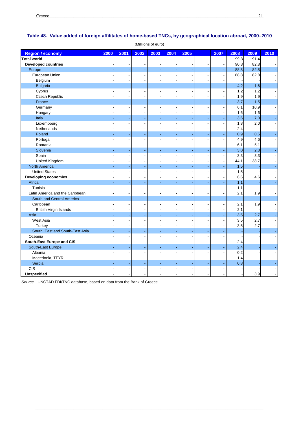## **Table 48. Value added of foreign affilitates of home-based TNCs, by geographical location abroad, 2000–2010**

(Milliions of euro)

| <b>Region / economy</b>         | 2000 | 2001 | 2002 | 2003 | 2004 | 2005                     |          | 2007                     | 2008 | 2009 | 2010 |
|---------------------------------|------|------|------|------|------|--------------------------|----------|--------------------------|------|------|------|
| <b>Total world</b>              |      |      |      |      |      |                          |          |                          | 99.3 | 91.4 |      |
| <b>Developed countries</b>      |      |      |      |      |      | $\overline{\phantom{a}}$ |          | $\overline{\phantom{a}}$ | 90.3 | 82.8 |      |
| Europe                          |      |      |      |      |      |                          |          |                          | 88.8 | 82.8 |      |
| European Union                  |      |      |      |      |      | $\overline{\phantom{0}}$ |          |                          | 88.8 | 82.8 |      |
| Belgium                         |      |      |      |      |      |                          |          |                          |      |      |      |
| <b>Bulgaria</b>                 |      |      |      |      |      | ä,                       | ä,       |                          | 4.2  | 1.6  |      |
| Cyprus                          |      |      |      |      |      |                          |          |                          | 1.2  | 1.2  |      |
| Czech Republic                  |      |      |      |      |      | ٠                        |          |                          | 1.9  | 1.9  |      |
| France                          |      |      |      |      |      | ä,                       | ÷,       |                          | 3.7  | 1.5  |      |
| Germany                         |      |      |      |      |      | $\overline{a}$           | ٠        |                          | 6.1  | 10.9 |      |
| Hungary                         |      |      |      |      |      | ٠                        |          |                          | 1.6  | 1.6  |      |
| Italy                           |      |      |      |      |      | ÷                        | ÷        |                          | 3.6  | 7.0  |      |
| Luxembourg                      |      |      |      |      |      | ÷,                       | ÷,       |                          | 1.8  | 2.0  |      |
| Netherlands                     |      |      |      |      |      |                          |          |                          | 2.4  |      |      |
| Poland                          |      |      |      |      |      | ÷,                       | ٠        |                          | 0.9  | 0.5  |      |
| Portugal                        |      |      |      |      |      | $\overline{a}$           |          |                          | 4.9  | 4.6  |      |
| Romania                         |      |      |      |      |      |                          |          |                          | 6.1  | 5.1  |      |
| Slovenia                        |      |      |      |      |      |                          |          |                          | 3.0  | 2.8  |      |
| Spain                           |      |      |      |      |      | ÷,                       |          |                          | 3.3  | 3.3  |      |
| United Kingdom                  |      |      |      |      |      |                          |          |                          | 44.1 | 38.7 |      |
| <b>North America</b>            |      |      |      |      |      | ÷,                       | Ξ        |                          | 1.5  |      |      |
| <b>United States</b>            |      |      |      |      |      |                          |          |                          | 1.5  |      |      |
| Developing economies            |      |      |      |      |      | $\blacksquare$           |          |                          | 6.6  | 4.6  |      |
| Africa                          |      |      |      |      |      | ä,                       | ÷        |                          | 1.1  |      |      |
| Tunisia                         |      |      |      |      |      | ÷,                       | ÷,       |                          | 1.1  |      |      |
| Latin America and the Caribbean |      |      |      |      |      |                          |          |                          | 2.1  | 1.9  |      |
| South and Central America       |      |      |      |      |      | L.                       | $\omega$ |                          |      |      |      |
| Caribbean                       |      |      |      |      |      | $\overline{a}$           | ٠        |                          | 2.1  | 1.9  |      |
| British Virgin Islands          |      |      |      |      |      | $\overline{\phantom{0}}$ |          |                          | 2.1  |      |      |
| Asia                            |      |      |      |      |      | ٠                        | ÷        |                          | 3.5  | 2.7  |      |
| West Asia                       |      |      |      |      |      | $\overline{a}$           |          |                          | 3.5  | 2.7  |      |
| Turkey                          |      |      |      |      |      | $\overline{\phantom{0}}$ |          |                          | 3.5  | 2.7  |      |
| South, East and South-East Asia |      |      |      |      |      | ÷                        | ÷        |                          |      |      |      |
| Oceania                         |      |      |      |      |      |                          |          |                          |      |      |      |
| South-East Europe and CIS       |      |      |      |      |      | ۰                        |          |                          | 2.4  |      |      |
| South-East Europe               |      |      |      |      |      | ä,                       | ÷        |                          | 2.4  |      |      |
| Albania                         |      |      |      |      |      |                          |          |                          | 0.2  |      |      |
| Macedonia, TFYR                 |      |      |      |      |      |                          |          |                          | 1.4  |      |      |
| Serbia                          |      |      |      |      |      |                          |          |                          | 0.8  |      |      |
| <b>CIS</b>                      |      |      |      |      |      | $\overline{a}$           |          |                          |      |      |      |
| <b>Unspecified</b>              |      |      |      |      |      |                          |          |                          |      | 3.9  |      |

\_\_\_\_\_\_\_\_\_\_\_\_\_\_\_\_\_\_\_\_\_\_\_\_\_\_\_\_\_\_\_\_\_\_\_\_\_\_\_\_\_\_\_\_\_\_\_\_\_\_\_\_\_\_\_\_\_\_\_\_\_\_\_\_\_\_\_\_\_\_\_\_\_\_\_\_\_\_\_\_\_\_\_\_\_\_\_\_\_\_\_\_\_\_\_\_\_\_\_\_\_\_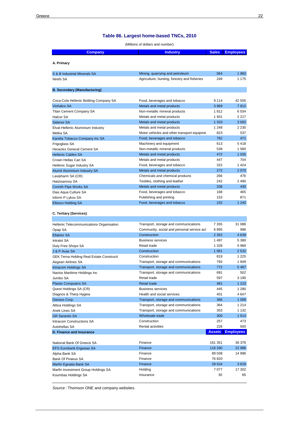#### **Table 86. Largest home-based TNCs, 2010**

(Millions of dollars and number)

| Company                                                       | <b>Industry</b>                                            | <b>Sales</b>  | <b>Employees</b> |
|---------------------------------------------------------------|------------------------------------------------------------|---------------|------------------|
| A. Primary                                                    |                                                            |               |                  |
| S & B Industrial Minerals SA                                  | Mining, quarrying and petroleum                            | 564           | 1983             |
| Nirefs SA                                                     | Agriculture, hunting, forestry and fisheries               | 249           | 1 1 7 5          |
| <b>B. Secondary (Manufacturing)</b>                           |                                                            |               |                  |
|                                                               |                                                            |               |                  |
| Coca-Cola Hellenic Bottling Company SA                        | Food, beverages and tobacco<br>Metals and metal products   | 9 1 1 4       | 42 505<br>7912   |
| <b>Viohalco SA</b>                                            |                                                            | 3969<br>1812  | 6 0 34           |
| Titan Cement Company SA                                       | Non-metallic mineral products<br>Metals and metal products | 1401          | 2 2 1 7          |
| Halcor SA<br>Sidenor SA                                       | Metals and metal products                                  | 1 3 3 3       | 3 0 0 2          |
| Elval-Hellenic Aluminium Industry                             | Metals and metal products                                  | 1 2 4 8       | 2 2 3 0          |
| Metka SA                                                      | Motor vehicles and other transport equipme                 | 823           | 537              |
| Karelia Tobacco Company Inc SA                                | Food, beverages and tobacco                                | 762           | 471              |
| Frigoglass SA                                                 | Machinery and equipment                                    | 613           | 5418             |
| Heracles General Cement SA                                    | Non-metallic mineral products                              | 539           | 1 580            |
| <b>Hellenic Cables SA</b>                                     | Metals and metal products                                  | 472           | 1 0 3 5          |
| Crown Hellas Can SA                                           | Metals and metal products                                  | 447           | 704              |
| Hellenic Sugar Industry SA                                    | Food, beverages and tobacco                                | 315           | 1424             |
| Alumil Aluminium Industry SA                                  | Metals and metal products                                  | 272           | 2 0 7 0          |
| Lavipharm SA (CR)                                             | Chemicals and chemical products                            | 266           | 476              |
| Hatzioannou SA                                                | Textiles, clothing and leather                             | 242           | 2 4 9 0          |
| <b>Corinth Pipe Works SA</b>                                  | Metals and metal products                                  | 208           | 430              |
| Dias Aqua Culture SA                                          | Food, beverages and tobacco                                | 168           | 465              |
| Inform P Lykos SA                                             | Publishing and printing                                    | 153           | 871              |
| <b>Elbisco Holding SA</b>                                     | Food, beverages and tobacco                                | 152           | 1 2 4 0          |
| C. Tertiary (Services)                                        |                                                            |               |                  |
| Hellenic Telecommunications Organisation                      | Transport, storage and communications                      | 7 355         | 31 088           |
| Opap SA                                                       | Community, social and personal service act                 | 6895          | 996              |
| <b>Ellaktor SA</b>                                            | Construction                                               | 2 3 5 2       | 4 6 3 9          |
| Intralot SA                                                   | <b>Business services</b>                                   | 1497          | 5 3 8 0          |
| Duty Free Shops SA                                            | Retail trade                                               | 1 3 2 8       | 5969             |
| J & P Avax SA                                                 | Construction                                               | 1 0 6 1       | 2 5 3 2          |
| <b>GEK Terna Holding Real Estate Constructi</b>               | Construction                                               | 819           | 1 2 2 5          |
| Aegean Airlines SA                                            | Transport, storage and communications                      | 793           | 1949             |
| Intracom Holdings SA                                          | Transport, storage and communications                      | 772           | 5487             |
| Navios Maritime Holdings Inc                                  | Transport, storage and communications                      | 691           | 502              |
| Jumbo SA                                                      | Retail trade                                               | 597           | 3 1 9 0          |
| <b>Plaisio Computers SA</b>                                   | Retail trade                                               | 481           | 1 2 2 3          |
| Quest Holdings SA (CR)                                        | <b>Business services</b>                                   | 445           | 1 2 8 0          |
| Diagnos & Therp Hygeia                                        | Health and social services                                 | 401           | 4647             |
| Danaos Corp.                                                  | Transport, storage and communications                      | 366           | 1 0 9 9          |
| Attica Holdings SA                                            | Transport, storage and communications                      | 364           | 1 2 1 4          |
| Anek Lines SA                                                 | Transport, storage and communications                      | 353           | 1 1 3 2          |
| <b>GR Sarantis SA</b>                                         | Wholesale trade                                            | 300           | 1514             |
| <b>Intracom Constructions SA</b>                              | Construction                                               | 257           | 473              |
| Autohellas SA                                                 | Rental activities                                          | 228           | 500              |
| D. Finance and Insurance                                      |                                                            | <b>Assets</b> | <b>Employees</b> |
| National Bank Of Greece SA                                    | Finance                                                    | 161 351       | 36 376           |
| <b>EFG Eurobank Ergasias SA</b>                               | Finance                                                    | 116 290       | 22 996           |
| Alpha Bank SA                                                 | Finance                                                    | 89 038        | 14 896           |
| <b>Bank Of Piraeus SA</b>                                     | Finance                                                    | 76 820        |                  |
|                                                               | Finance                                                    | 29 5 34       | 3629             |
| Marfin Egnatia Bank SA<br>Marfin Investment Group Holdings SA | Holding                                                    | 7077          | 17 302           |
| Koumbas Holdings SA                                           | Insurance                                                  | 92            | 65               |

\_\_\_\_\_\_\_\_\_\_\_\_\_\_\_\_\_\_\_\_\_\_\_\_\_\_\_\_\_\_\_\_\_\_\_\_\_\_\_\_\_\_\_\_\_\_\_\_\_\_\_\_\_\_\_\_\_\_\_\_\_\_\_\_\_\_\_\_\_\_\_\_\_\_\_\_\_\_\_\_\_\_\_\_\_\_\_\_\_\_\_\_\_\_\_\_\_\_\_\_\_\_

*Source* : Thomson ONE and company websites.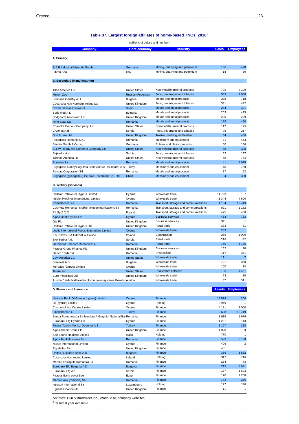#### **Table 87. Largest foreign affiliates of home-based TNCs, 2010***<sup>a</sup>*

(Millions of dollars and number)

| Company                                                                             | <b>Host economy</b>             | <b>Industry</b>                                                   | <b>Sales</b>    | <b>Employees</b> |
|-------------------------------------------------------------------------------------|---------------------------------|-------------------------------------------------------------------|-----------------|------------------|
|                                                                                     |                                 |                                                                   |                 |                  |
| A. Primary                                                                          |                                 |                                                                   |                 |                  |
| S & B Industrial Minerals Gmbh                                                      | Germany                         | Mining, quarrying and petroleum                                   | 166             | 420              |
| Fibran Spa                                                                          | Italy                           | Mining, quarrying and petroleum                                   | 18              | 60               |
|                                                                                     |                                 |                                                                   |                 |                  |
| <b>B. Secondary (Manufacturing)</b>                                                 |                                 |                                                                   |                 |                  |
| <b>Titan America Llc</b>                                                            | <b>United States</b>            | Non-metallic mineral products                                     | 700             | 2 1 0 9          |
| Multon Zao                                                                          | <b>Russian Federation</b>       | Food, beverages and tobacco                                       | 559             | 2058             |
| Stomana Industry A D                                                                | Bulgaria                        | Metals and metal products                                         | 378             | 718              |
| Coca-cola Hbc Northern Ireland Ltd                                                  | United Kingdom                  | Food, beverages and tobacco                                       | 331             | 492              |
| Crown Bevcan Espa-a SI                                                              | Spain                           | Metals and metal products                                         | 244             | 321              |
| Sofia Med A D<br>Bridgnorth Aluminium Ltd                                           | Bulgaria<br>United Kingdom      | Metals and metal products<br>Metals and metal products            | 203<br>200      | 435<br>229       |
| Icme Ecab Sa                                                                        | Romania                         | Metals and metal products                                         | 129             | 490              |
| Roanoke Cement Company, Llc                                                         | <b>United States</b>            | Non-metallic mineral products                                     | 117             | 195              |
| Crvenka A.d.                                                                        | Serbia                          | Food, beverages and tobacco                                       | 95              | 217              |
| Don & Low Ltd                                                                       | <b>United Kingdom</b>           | Textiles, clothing and leather                                    | 84              | 466              |
| Frigoglass Romania S.r.l.                                                           | Romania                         | Machinery and equipment                                           | 81              | 453              |
| Sander Gmbh & Co. Kg<br>S & W Ready Mix Concrete Company Llc                        | Germany<br><b>United States</b> | Rubber and plastic products<br>Non-metallic mineral products      | 60<br>58        | 130<br>300       |
| Sajkaska A.d.                                                                       | Serbia                          | Food, beverages and tobacco                                       | 52              | 197              |
| Tarmac America Llc                                                                  | <b>United States</b>            | Non-metallic mineral products                                     | 48              | 774              |
| Sometra Sa                                                                          | Romania                         | Metals and metal products                                         | 41              | 1075             |
| Frigoglass Turkey Sogutma Sanayi Ic Ve Dis Ticaret A S Turkey                       |                                 | Machinery and equipment                                           | 40              | 750              |
| Raycap Corporation Srl                                                              | Romania                         | Metals and metal products                                         | 37              | 52               |
| Frigoglass (guangzhou) Ice-cold Equipment Co., Ltd.                                 | China                           | Machinery and equipment                                           | 34              | 300              |
| C. Tertiary (Services)                                                              |                                 |                                                                   |                 |                  |
|                                                                                     |                                 |                                                                   |                 |                  |
| Hellenic Petroleum Cyprus Limited                                                   | Cyprus                          | Wholesale trade                                                   | 11 793          | 57               |
| Intralot Holdings International Limited                                             | Cyprus                          | Wholesale trade                                                   | 1 3 4 4         | 4 800            |
| Romtelecom S.a.                                                                     | Romania                         | Transport, storage and communications                             | 1 1 5 4         | 12 4 19          |
| Cosmote Romanian Mobile Telecommunications Sa                                       | Romania                         | Transport, storage and communications                             | 621             | 1 1 8 2          |
| P4 Sp Z O O<br>Alpha Bank Cyprus Ltd                                                | Poland<br>Cyprus                | Transport, storage and communications<br><b>Business services</b> | 475<br>463      | 480<br>763       |
| Ote Plc                                                                             | United Kingdom                  | <b>Business services</b>                                          | 341             | $\mathbf{1}$     |
| Hellenic Petroleum Cyprus Ltd                                                       | United Kingdom                  | Retail trade                                                      | 333             | 61               |
| Loulis International Foods Enterprises Limited                                      | Cyprus                          | Wholesale trade                                                   | 289             |                  |
| J & P Avax S A Oddzial W Polsce                                                     | Poland                          | Construction                                                      | 266             | 1 0 0 0          |
| Eko Serbia A.d.                                                                     | Serbia<br>Romania               | Retail trade                                                      | 216             | 42<br>1 1 4 6    |
| Germanos Telecom Romania S.a.<br>Piraeus Group Finance Plc                          | United Kingdom                  | Retail trade<br><b>Business services</b>                          | 160<br>152      | 20               |
| Genco Trade Srl                                                                     | Romania                         | Unspecified                                                       | 117             | 361              |
| Cpw America Co.                                                                     | <b>United States</b>            | Wholesale trade                                                   | 111             | $\overline{7}$   |
| Steelmet A D                                                                        | Bulgaria                        | Wholesale trade                                                   | 101             | 360              |
| Morpack (cyprus) Limited                                                            | Cyprus                          | Wholesale trade                                                   | 100             | 14               |
| Tousa, Inc.                                                                         | <b>United States</b>            | Real estate activities                                            | 96              | 1461             |
| Euro-medicines Ltd<br>Austria Card-plastikkarten Und Ausweissysteme Gesells Austria | United Kingdom                  | Wholesale trade<br>Wholesale trade                                | 93<br>87        | 10<br>311        |
|                                                                                     |                                 |                                                                   |                 |                  |
| D. Finance and Insurance                                                            |                                 |                                                                   | <b>Assets</b>   | <b>Employees</b> |
|                                                                                     |                                 |                                                                   |                 |                  |
| National Bank Of Greece (cyprus) Limited                                            | Cyprus                          | Finance                                                           | 12 876          | 200              |
| 3e (cyprus) Limited                                                                 | Cyprus                          | Holding<br>Finance                                                | 8949            |                  |
| <b>Cosmoholding Cyprus Limited</b><br>Finansbank A S                                | Cyprus<br><b>Turkey</b>         | Finance                                                           | 4 1 8 1<br>2608 | 2 0 0 0<br>10719 |
| Banca Romaneasca Sa Membra A Grupului National Bai Romania                          |                                 | Finance                                                           | 1616            | 1676             |
| Eurobank Efg Cyprus Ltd                                                             | Cyprus                          | Finance                                                           | 1 2 0 1         | 143              |
| Finans Yatirim Menkul Degerler A S                                                  | <b>Turkey</b>                   | Finance                                                           | 1 1 6 7         | 218              |
| Alpha Credit Group Plc                                                              | United Kingdom                  | Finance                                                           | 1 0 9 0         | 3                |
| See Sports Holdings Limited                                                         | Malta                           | Holding                                                           | 770             |                  |
| Alpha Bank Romania Sa<br>Nireus International Limited                               | Romania<br>Cyprus               | Finance<br>Finance                                                | 593<br>406      | 2 1 9 0<br>2     |
| Efg Hellas Plc                                                                      | United Kingdom                  | Finance                                                           | 401             |                  |
| United Bulgarian Bank A D                                                           | <b>Bulgaria</b>                 | Finance                                                           | 359             | 3882             |
| Coca-cola Hbc Ireland Limited                                                       | Ireland                         | Holding                                                           | 317             | 716              |
| Marfin Leasing Ifn (romania) Sa                                                     | Romania                         | Finance                                                           | 234             | 73               |
| Eurobank Efg Bulgaria A D                                                           | <b>Bulgaria</b>                 | Finance                                                           | 213             | 2921             |
| Eurobank Efg A.d.                                                                   | Serbia                          | Finance<br>Finance                                                | 187<br>170      | 1 603<br>1 200   |
| Piraeus Bank-egypt Sae<br>Marfin Bank (romania) Sa                                  | Egypt<br>Romania                | Finance                                                           | 142             | 256              |
| Intrasoft International Sa                                                          | Luxembourg                      | Holding                                                           | 127             | 140              |
| Egnatia Finance Plc                                                                 | United Kingdom                  | Finance                                                           | 11              |                  |

\_\_\_\_\_\_\_\_\_\_\_\_\_\_\_\_\_\_\_\_\_\_\_\_\_\_\_\_\_\_\_\_\_\_\_\_\_\_\_\_\_\_\_\_\_\_\_\_\_\_\_\_\_\_\_\_\_\_\_\_\_\_\_\_\_\_\_\_\_\_\_\_\_\_\_\_\_\_\_\_\_\_\_\_\_\_\_\_\_\_\_\_\_\_\_\_\_\_\_\_\_\_

*Sources:* Dun & Bradstreet Inc., WorldBase, company websites. <sup>a</sup> Or latest year available.